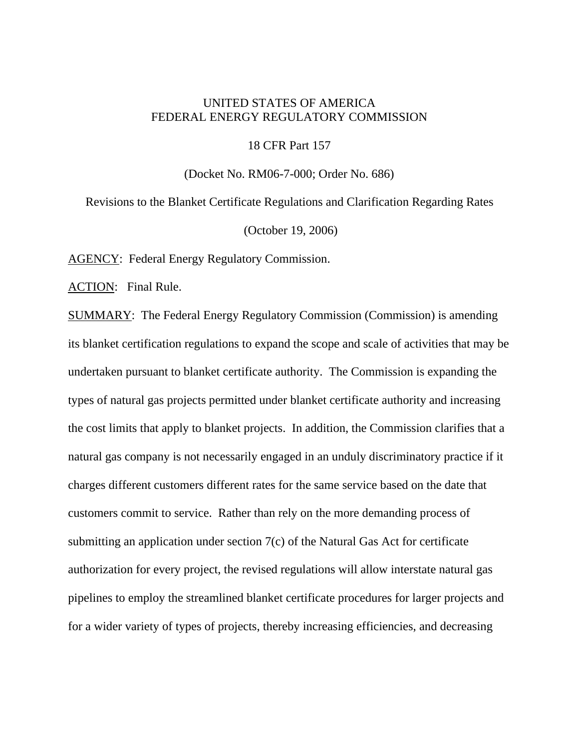## UNITED STATES OF AMERICA FEDERAL ENERGY REGULATORY COMMISSION

18 CFR Part 157

(Docket No. RM06-7-000; Order No. 686)

Revisions to the Blanket Certificate Regulations and Clarification Regarding Rates (October 19, 2006)

AGENCY: Federal Energy Regulatory Commission.

ACTION: Final Rule.

SUMMARY: The Federal Energy Regulatory Commission (Commission) is amending its blanket certification regulations to expand the scope and scale of activities that may be undertaken pursuant to blanket certificate authority. The Commission is expanding the types of natural gas projects permitted under blanket certificate authority and increasing the cost limits that apply to blanket projects. In addition, the Commission clarifies that a natural gas company is not necessarily engaged in an unduly discriminatory practice if it charges different customers different rates for the same service based on the date that customers commit to service. Rather than rely on the more demanding process of submitting an application under section 7(c) of the Natural Gas Act for certificate authorization for every project, the revised regulations will allow interstate natural gas pipelines to employ the streamlined blanket certificate procedures for larger projects and for a wider variety of types of projects, thereby increasing efficiencies, and decreasing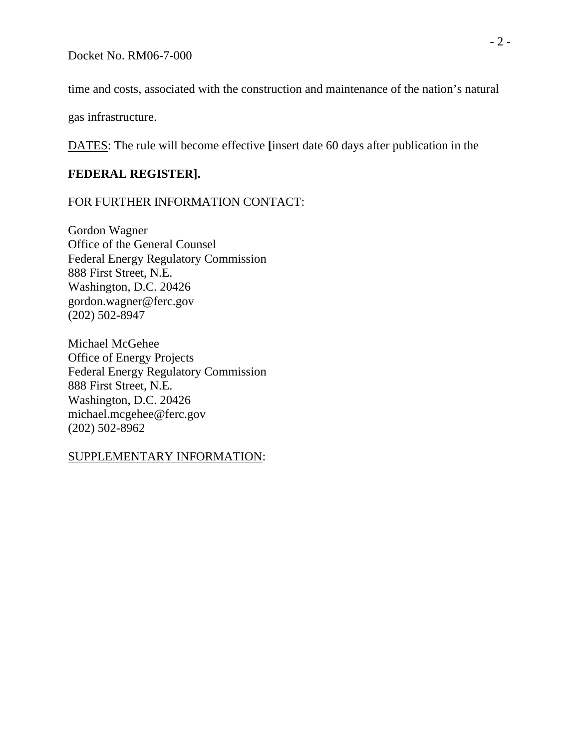time and costs, associated with the construction and maintenance of the nation's natural

gas infrastructure.

DATES: The rule will become effective **[**insert date 60 days after publication in the

## **FEDERAL REGISTER].**

## FOR FURTHER INFORMATION CONTACT:

Gordon Wagner Office of the General Counsel Federal Energy Regulatory Commission 888 First Street, N.E. Washington, D.C. 20426 gordon.wagner@ferc.gov (202) 502-8947

Michael McGehee Office of Energy Projects Federal Energy Regulatory Commission 888 First Street, N.E. Washington, D.C. 20426 michael.mcgehee@ferc.gov (202) 502-8962

## SUPPLEMENTARY INFORMATION: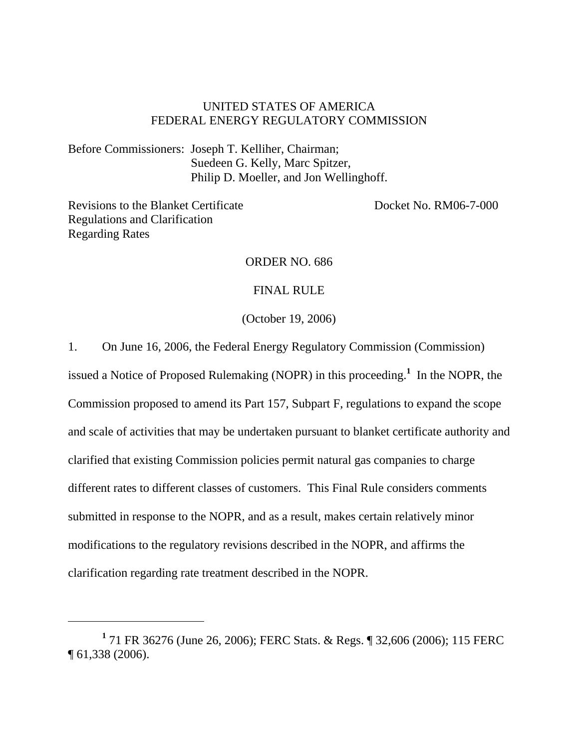## UNITED STATES OF AMERICA FEDERAL ENERGY REGULATORY COMMISSION

Before Commissioners: Joseph T. Kelliher, Chairman; Suedeen G. Kelly, Marc Spitzer, Philip D. Moeller, and Jon Wellinghoff.

Revisions to the Blanket Certificate Docket No. RM06-7-000 Regulations and Clarification Regarding Rates

## ORDER NO. 686

#### FINAL RULE

(October 19, 2006)

1. On June 16, 2006, the Federal Energy Regulatory Commission (Commission)

issued a Notice of Proposed Rulemaking (NOPR) in this proceeding.**<sup>1</sup>** In the NOPR, the Commission proposed to amend its Part 157, Subpart F, regulations to expand the scope and scale of activities that may be undertaken pursuant to blanket certificate authority and clarified that existing Commission policies permit natural gas companies to charge different rates to different classes of customers. This Final Rule considers comments submitted in response to the NOPR, and as a result, makes certain relatively minor modifications to the regulatory revisions described in the NOPR, and affirms the clarification regarding rate treatment described in the NOPR.

**<sup>1</sup>** 71 FR 36276 (June 26, 2006); FERC Stats. & Regs. ¶ 32,606 (2006); 115 FERC ¶ 61,338 (2006).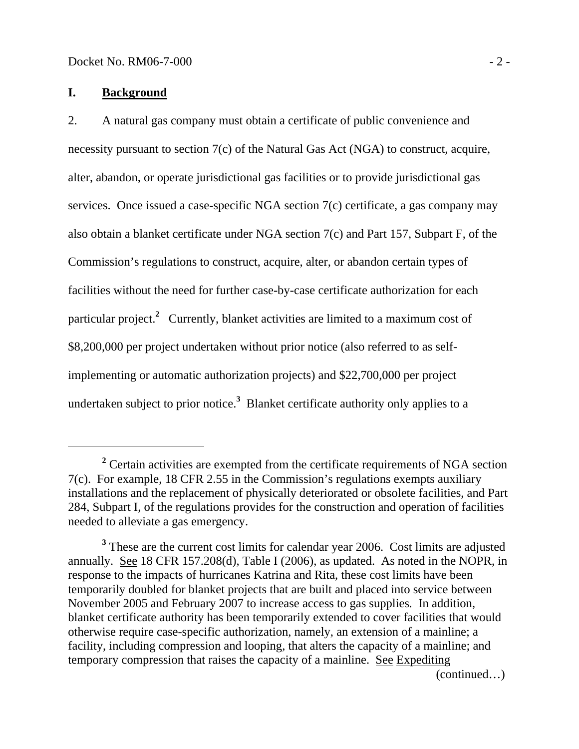## **I. Background**

2. A natural gas company must obtain a certificate of public convenience and necessity pursuant to section 7(c) of the Natural Gas Act (NGA) to construct, acquire, alter, abandon, or operate jurisdictional gas facilities or to provide jurisdictional gas services. Once issued a case-specific NGA section 7(c) certificate, a gas company may also obtain a blanket certificate under NGA section 7(c) and Part 157, Subpart F, of the Commission's regulations to construct, acquire, alter, or abandon certain types of facilities without the need for further case-by-case certificate authorization for each particular project.**<sup>2</sup>** Currently, blanket activities are limited to a maximum cost of \$8,200,000 per project undertaken without prior notice (also referred to as selfimplementing or automatic authorization projects) and \$22,700,000 per project undertaken subject to prior notice.**<sup>3</sup>** Blanket certificate authority only applies to a

<sup>&</sup>lt;sup>2</sup> Certain activities are exempted from the certificate requirements of NGA section 7(c). For example, 18 CFR 2.55 in the Commission's regulations exempts auxiliary installations and the replacement of physically deteriorated or obsolete facilities, and Part 284, Subpart I, of the regulations provides for the construction and operation of facilities needed to alleviate a gas emergency.

<sup>&</sup>lt;sup>3</sup> These are the current cost limits for calendar year 2006. Cost limits are adjusted annually. See 18 CFR 157.208(d), Table I (2006), as updated. As noted in the NOPR, in response to the impacts of hurricanes Katrina and Rita, these cost limits have been temporarily doubled for blanket projects that are built and placed into service between November 2005 and February 2007 to increase access to gas supplies*.* In addition, blanket certificate authority has been temporarily extended to cover facilities that would otherwise require case-specific authorization, namely, an extension of a mainline; a facility, including compression and looping, that alters the capacity of a mainline; and temporary compression that raises the capacity of a mainline. See Expediting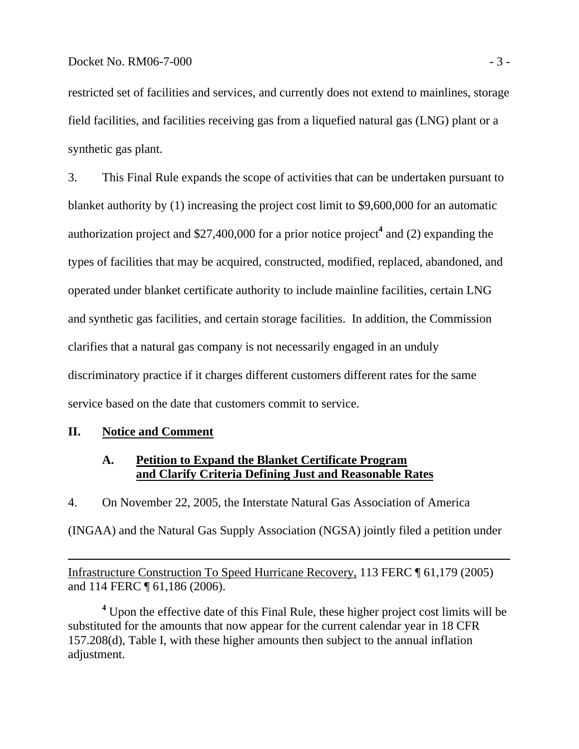restricted set of facilities and services, and currently does not extend to mainlines, storage field facilities, and facilities receiving gas from a liquefied natural gas (LNG) plant or a synthetic gas plant.

3. This Final Rule expands the scope of activities that can be undertaken pursuant to blanket authority by (1) increasing the project cost limit to \$9,600,000 for an automatic authorization project and \$27,400,000 for a prior notice project**<sup>4</sup>** and (2) expanding the types of facilities that may be acquired, constructed, modified, replaced, abandoned, and operated under blanket certificate authority to include mainline facilities, certain LNG and synthetic gas facilities, and certain storage facilities. In addition, the Commission clarifies that a natural gas company is not necessarily engaged in an unduly discriminatory practice if it charges different customers different rates for the same service based on the date that customers commit to service.

## **II. Notice and Comment**

 $\overline{a}$ 

## **A. Petition to Expand the Blanket Certificate Program and Clarify Criteria Defining Just and Reasonable Rates**

4. On November 22, 2005, the Interstate Natural Gas Association of America (INGAA) and the Natural Gas Supply Association (NGSA) jointly filed a petition under

Infrastructure Construction To Speed Hurricane Recovery, 113 FERC ¶ 61,179 (2005) and 114 FERC ¶ 61,186 (2006).

<sup>4</sup> Upon the effective date of this Final Rule, these higher project cost limits will be substituted for the amounts that now appear for the current calendar year in 18 CFR 157.208(d), Table I, with these higher amounts then subject to the annual inflation adjustment.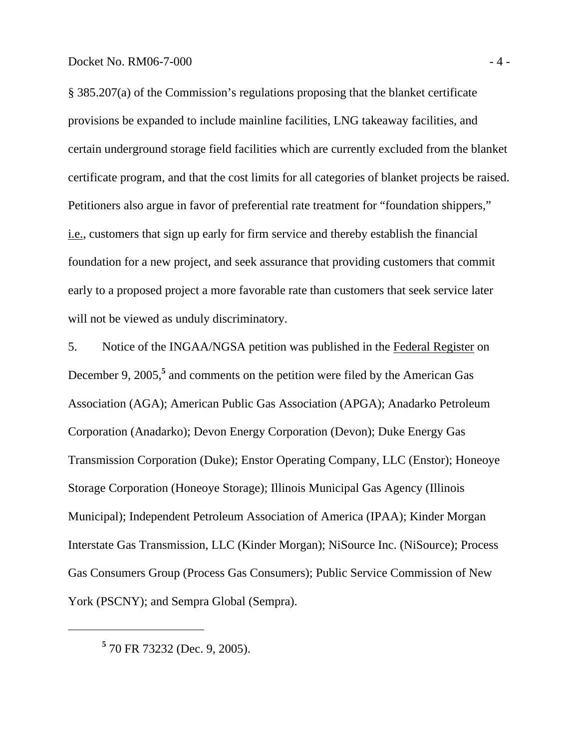§ 385.207(a) of the Commission's regulations proposing that the blanket certificate provisions be expanded to include mainline facilities, LNG takeaway facilities, and certain underground storage field facilities which are currently excluded from the blanket certificate program, and that the cost limits for all categories of blanket projects be raised. Petitioners also argue in favor of preferential rate treatment for "foundation shippers," i.e., customers that sign up early for firm service and thereby establish the financial foundation for a new project, and seek assurance that providing customers that commit early to a proposed project a more favorable rate than customers that seek service later will not be viewed as unduly discriminatory.

5. Notice of the INGAA/NGSA petition was published in the Federal Register on December 9, 2005,<sup>5</sup> and comments on the petition were filed by the American Gas Association (AGA); American Public Gas Association (APGA); Anadarko Petroleum Corporation (Anadarko); Devon Energy Corporation (Devon); Duke Energy Gas Transmission Corporation (Duke); Enstor Operating Company, LLC (Enstor); Honeoye Storage Corporation (Honeoye Storage); Illinois Municipal Gas Agency (Illinois Municipal); Independent Petroleum Association of America (IPAA); Kinder Morgan Interstate Gas Transmission, LLC (Kinder Morgan); NiSource Inc. (NiSource); Process Gas Consumers Group (Process Gas Consumers); Public Service Commission of New York (PSCNY); and Sempra Global (Sempra).

**<sup>5</sup>** 70 FR 73232 (Dec. 9, 2005).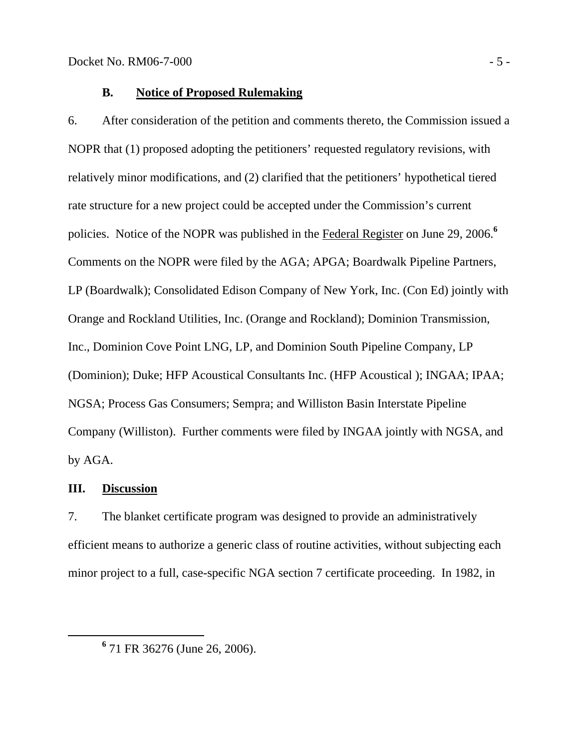## **B. Notice of Proposed Rulemaking**

6. After consideration of the petition and comments thereto, the Commission issued a NOPR that (1) proposed adopting the petitioners' requested regulatory revisions, with relatively minor modifications, and (2) clarified that the petitioners' hypothetical tiered rate structure for a new project could be accepted under the Commission's current policies. Notice of the NOPR was published in the Federal Register on June 29, 2006.**<sup>6</sup>** Comments on the NOPR were filed by the AGA; APGA; Boardwalk Pipeline Partners, LP (Boardwalk); Consolidated Edison Company of New York, Inc. (Con Ed) jointly with Orange and Rockland Utilities, Inc. (Orange and Rockland); Dominion Transmission, Inc., Dominion Cove Point LNG, LP, and Dominion South Pipeline Company, LP (Dominion); Duke; HFP Acoustical Consultants Inc. (HFP Acoustical ); INGAA; IPAA; NGSA; Process Gas Consumers; Sempra; and Williston Basin Interstate Pipeline Company (Williston). Further comments were filed by INGAA jointly with NGSA, and by AGA.

## **III. Discussion**

7. The blanket certificate program was designed to provide an administratively efficient means to authorize a generic class of routine activities, without subjecting each minor project to a full, case-specific NGA section 7 certificate proceeding. In 1982, in

**<sup>6</sup>** 71 FR 36276 (June 26, 2006).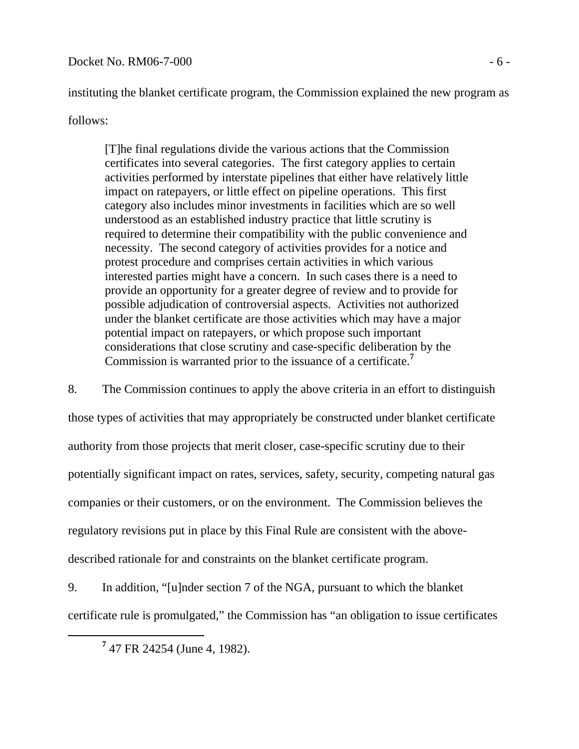## $Docke$ t No. RM06-7-000  $-6$  -

instituting the blanket certificate program, the Commission explained the new program as

## follows:

[T]he final regulations divide the various actions that the Commission certificates into several categories. The first category applies to certain activities performed by interstate pipelines that either have relatively little impact on ratepayers, or little effect on pipeline operations. This first category also includes minor investments in facilities which are so well understood as an established industry practice that little scrutiny is required to determine their compatibility with the public convenience and necessity. The second category of activities provides for a notice and protest procedure and comprises certain activities in which various interested parties might have a concern. In such cases there is a need to provide an opportunity for a greater degree of review and to provide for possible adjudication of controversial aspects. Activities not authorized under the blanket certificate are those activities which may have a major potential impact on ratepayers, or which propose such important considerations that close scrutiny and case-specific deliberation by the Commission is warranted prior to the issuance of a certificate.**<sup>7</sup>**

8. The Commission continues to apply the above criteria in an effort to distinguish those types of activities that may appropriately be constructed under blanket certificate authority from those projects that merit closer, case-specific scrutiny due to their potentially significant impact on rates, services, safety, security, competing natural gas companies or their customers, or on the environment. The Commission believes the regulatory revisions put in place by this Final Rule are consistent with the abovedescribed rationale for and constraints on the blanket certificate program.

9. In addition, "[u]nder section 7 of the NGA, pursuant to which the blanket certificate rule is promulgated," the Commission has "an obligation to issue certificates

**<sup>7</sup>** 47 FR 24254 (June 4, 1982).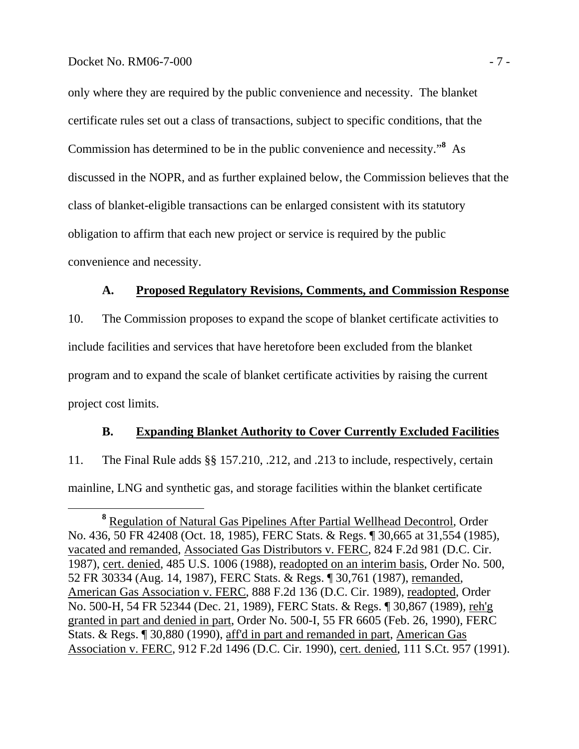only where they are required by the public convenience and necessity. The blanket certificate rules set out a class of transactions, subject to specific conditions, that the Commission has determined to be in the public convenience and necessity."**<sup>8</sup>** As discussed in the NOPR, and as further explained below, the Commission believes that the class of blanket-eligible transactions can be enlarged consistent with its statutory obligation to affirm that each new project or service is required by the public convenience and necessity.

## **A. Proposed Regulatory Revisions, Comments, and Commission Response**

10. The Commission proposes to expand the scope of blanket certificate activities to include facilities and services that have heretofore been excluded from the blanket program and to expand the scale of blanket certificate activities by raising the current project cost limits.

## **B. Expanding Blanket Authority to Cover Currently Excluded Facilities**

11. The Final Rule adds §§ 157.210, .212, and .213 to include, respectively, certain mainline, LNG and synthetic gas, and storage facilities within the blanket certificate

**<sup>8</sup>** Regulation of Natural Gas Pipelines After Partial Wellhead Decontrol*,* Order No. 436, 50 FR 42408 (Oct. 18, 1985), FERC Stats. & Regs. ¶ 30,665 at 31,554 (1985), vacated and remanded, Associated Gas Distributors v. FERC, 824 F.2d 981 (D.C. Cir. 1987), cert. denied, 485 U.S. 1006 (1988), readopted on an interim basis, Order No. 500, 52 FR 30334 (Aug. 14, 1987), FERC Stats. & Regs. ¶ 30,761 (1987), remanded, American Gas Association v. FERC, 888 F.2d 136 (D.C. Cir. 1989), readopted, Order No. 500-H, 54 FR 52344 (Dec. 21, 1989), FERC Stats. & Regs. ¶ 30,867 (1989), reh'g granted in part and denied in part, Order No. 500-I, 55 FR 6605 (Feb. 26, 1990), FERC Stats. & Regs. ¶ 30,880 (1990), aff'd in part and remanded in part, American Gas Association v. FERC, 912 F.2d 1496 (D.C. Cir. 1990), cert. denied, 111 S.Ct. 957 (1991).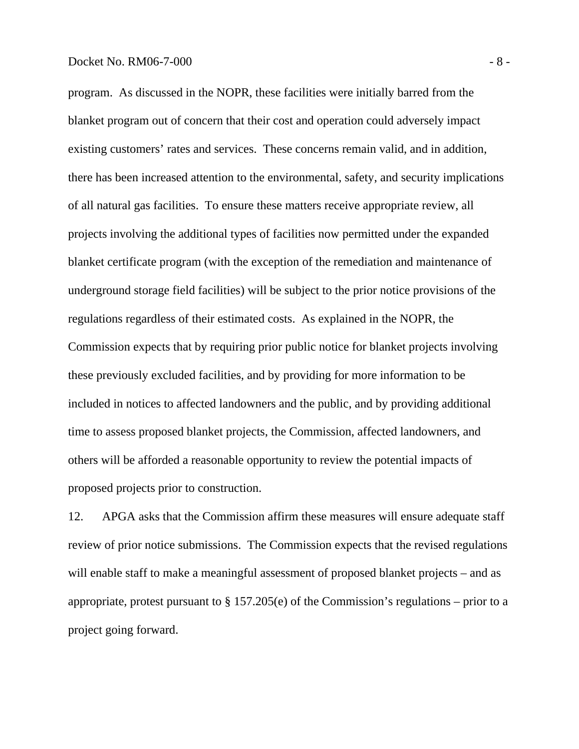program. As discussed in the NOPR, these facilities were initially barred from the blanket program out of concern that their cost and operation could adversely impact existing customers' rates and services. These concerns remain valid, and in addition, there has been increased attention to the environmental, safety, and security implications of all natural gas facilities. To ensure these matters receive appropriate review, all projects involving the additional types of facilities now permitted under the expanded blanket certificate program (with the exception of the remediation and maintenance of underground storage field facilities) will be subject to the prior notice provisions of the regulations regardless of their estimated costs. As explained in the NOPR, the Commission expects that by requiring prior public notice for blanket projects involving these previously excluded facilities, and by providing for more information to be included in notices to affected landowners and the public, and by providing additional time to assess proposed blanket projects, the Commission, affected landowners, and others will be afforded a reasonable opportunity to review the potential impacts of proposed projects prior to construction.

12. APGA asks that the Commission affirm these measures will ensure adequate staff review of prior notice submissions. The Commission expects that the revised regulations will enable staff to make a meaningful assessment of proposed blanket projects – and as appropriate, protest pursuant to  $\S 157.205(e)$  of the Commission's regulations – prior to a project going forward.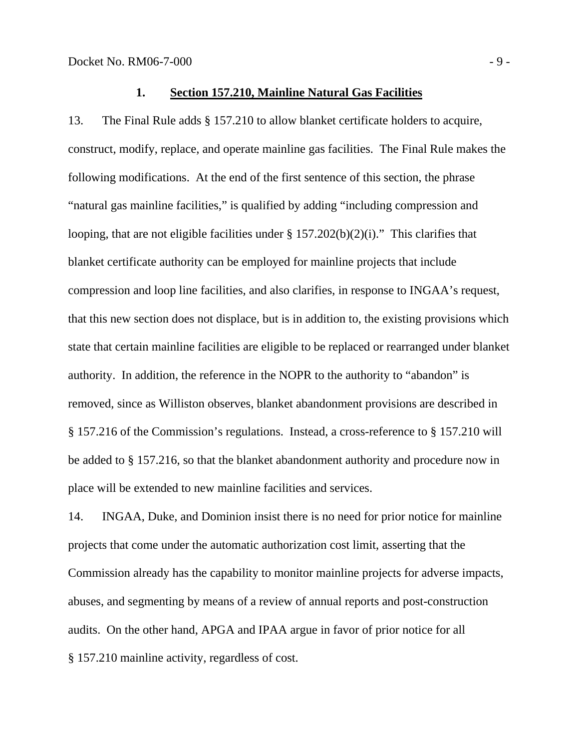#### **1. Section 157.210, Mainline Natural Gas Facilities**

13. The Final Rule adds § 157.210 to allow blanket certificate holders to acquire, construct, modify, replace, and operate mainline gas facilities. The Final Rule makes the following modifications. At the end of the first sentence of this section, the phrase "natural gas mainline facilities," is qualified by adding "including compression and looping, that are not eligible facilities under  $\S 157.202(b)(2)(i)$ ." This clarifies that blanket certificate authority can be employed for mainline projects that include compression and loop line facilities, and also clarifies, in response to INGAA's request, that this new section does not displace, but is in addition to, the existing provisions which state that certain mainline facilities are eligible to be replaced or rearranged under blanket authority. In addition, the reference in the NOPR to the authority to "abandon" is removed, since as Williston observes, blanket abandonment provisions are described in § 157.216 of the Commission's regulations. Instead, a cross-reference to § 157.210 will be added to § 157.216, so that the blanket abandonment authority and procedure now in place will be extended to new mainline facilities and services.

14. INGAA, Duke, and Dominion insist there is no need for prior notice for mainline projects that come under the automatic authorization cost limit, asserting that the Commission already has the capability to monitor mainline projects for adverse impacts, abuses, and segmenting by means of a review of annual reports and post-construction audits. On the other hand, APGA and IPAA argue in favor of prior notice for all § 157.210 mainline activity, regardless of cost.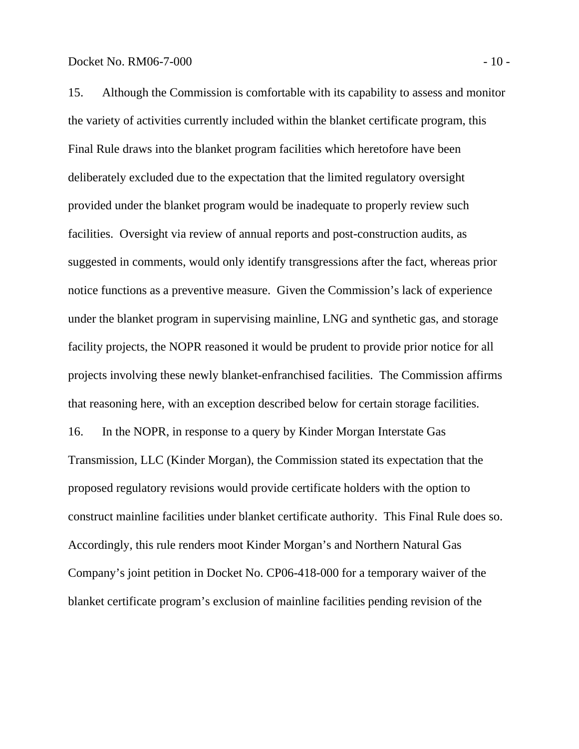15. Although the Commission is comfortable with its capability to assess and monitor the variety of activities currently included within the blanket certificate program, this Final Rule draws into the blanket program facilities which heretofore have been deliberately excluded due to the expectation that the limited regulatory oversight provided under the blanket program would be inadequate to properly review such facilities. Oversight via review of annual reports and post-construction audits, as suggested in comments, would only identify transgressions after the fact, whereas prior notice functions as a preventive measure. Given the Commission's lack of experience under the blanket program in supervising mainline, LNG and synthetic gas, and storage facility projects, the NOPR reasoned it would be prudent to provide prior notice for all projects involving these newly blanket-enfranchised facilities. The Commission affirms that reasoning here, with an exception described below for certain storage facilities. 16. In the NOPR, in response to a query by Kinder Morgan Interstate Gas Transmission, LLC (Kinder Morgan), the Commission stated its expectation that the proposed regulatory revisions would provide certificate holders with the option to construct mainline facilities under blanket certificate authority. This Final Rule does so. Accordingly, this rule renders moot Kinder Morgan's and Northern Natural Gas Company's joint petition in Docket No. CP06-418-000 for a temporary waiver of the blanket certificate program's exclusion of mainline facilities pending revision of the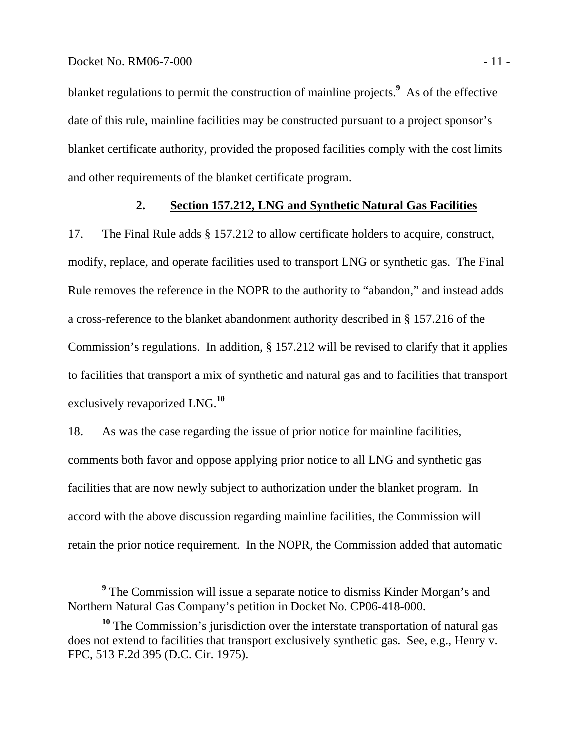blanket regulations to permit the construction of mainline projects.**<sup>9</sup>** As of the effective date of this rule, mainline facilities may be constructed pursuant to a project sponsor's blanket certificate authority, provided the proposed facilities comply with the cost limits and other requirements of the blanket certificate program.

## **2. Section 157.212, LNG and Synthetic Natural Gas Facilities**

17. The Final Rule adds § 157.212 to allow certificate holders to acquire, construct, modify, replace, and operate facilities used to transport LNG or synthetic gas. The Final Rule removes the reference in the NOPR to the authority to "abandon," and instead adds a cross-reference to the blanket abandonment authority described in § 157.216 of the Commission's regulations. In addition, § 157.212 will be revised to clarify that it applies to facilities that transport a mix of synthetic and natural gas and to facilities that transport exclusively revaporized LNG.**<sup>10</sup>**

18. As was the case regarding the issue of prior notice for mainline facilities, comments both favor and oppose applying prior notice to all LNG and synthetic gas facilities that are now newly subject to authorization under the blanket program. In accord with the above discussion regarding mainline facilities, the Commission will retain the prior notice requirement. In the NOPR, the Commission added that automatic

**<sup>9</sup>** <sup>9</sup> The Commission will issue a separate notice to dismiss Kinder Morgan's and Northern Natural Gas Company's petition in Docket No. CP06-418-000.

**<sup>10</sup>** The Commission's jurisdiction over the interstate transportation of natural gas does not extend to facilities that transport exclusively synthetic gas. See, e.g., Henry v. FPC, 513 F.2d 395 (D.C. Cir. 1975).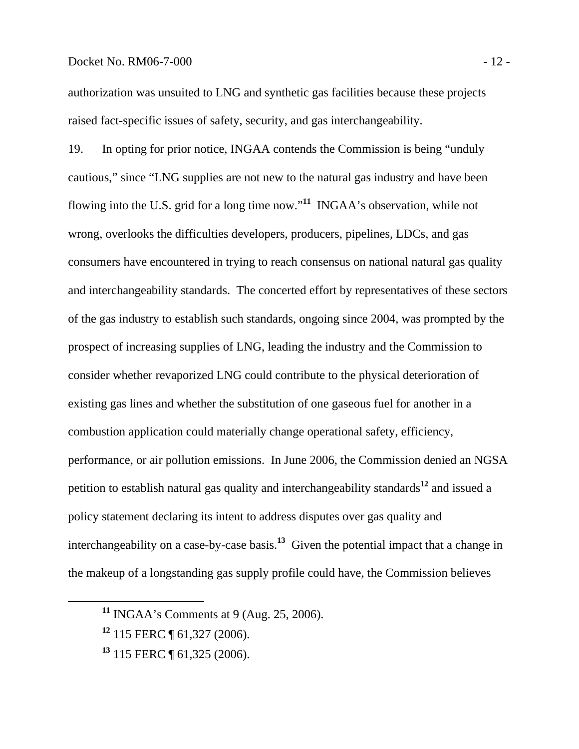#### Docket No. RM06-7-000 - 12 -

authorization was unsuited to LNG and synthetic gas facilities because these projects raised fact-specific issues of safety, security, and gas interchangeability.

19. In opting for prior notice, INGAA contends the Commission is being "unduly cautious," since "LNG supplies are not new to the natural gas industry and have been flowing into the U.S. grid for a long time now."**<sup>11</sup>** INGAA's observation, while not wrong, overlooks the difficulties developers, producers, pipelines, LDCs, and gas consumers have encountered in trying to reach consensus on national natural gas quality and interchangeability standards. The concerted effort by representatives of these sectors of the gas industry to establish such standards, ongoing since 2004, was prompted by the prospect of increasing supplies of LNG, leading the industry and the Commission to consider whether revaporized LNG could contribute to the physical deterioration of existing gas lines and whether the substitution of one gaseous fuel for another in a combustion application could materially change operational safety, efficiency, performance, or air pollution emissions. In June 2006, the Commission denied an NGSA petition to establish natural gas quality and interchangeability standards**<sup>12</sup>** and issued a policy statement declaring its intent to address disputes over gas quality and interchangeability on a case-by-case basis.**<sup>13</sup>** Given the potential impact that a change in the makeup of a longstanding gas supply profile could have, the Commission believes

**<sup>11</sup>** INGAA's Comments at 9 (Aug. 25, 2006).

**<sup>12</sup>** 115 FERC ¶ 61,327 (2006).

**<sup>13</sup>** 115 FERC ¶ 61,325 (2006).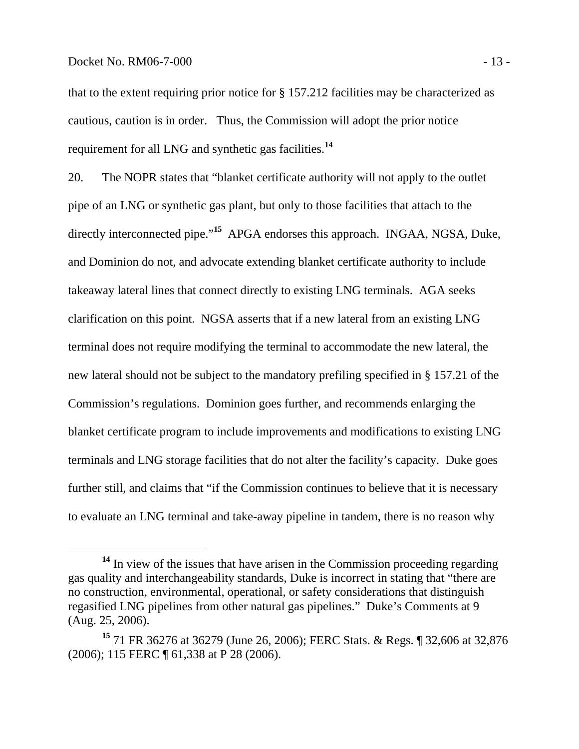## Docket No. RM06-7-000 - 13 -

that to the extent requiring prior notice for § 157.212 facilities may be characterized as cautious, caution is in order. Thus, the Commission will adopt the prior notice requirement for all LNG and synthetic gas facilities.**<sup>14</sup>**

20. The NOPR states that "blanket certificate authority will not apply to the outlet pipe of an LNG or synthetic gas plant, but only to those facilities that attach to the directly interconnected pipe."**<sup>15</sup>** APGA endorses this approach. INGAA, NGSA, Duke, and Dominion do not, and advocate extending blanket certificate authority to include takeaway lateral lines that connect directly to existing LNG terminals. AGA seeks clarification on this point. NGSA asserts that if a new lateral from an existing LNG terminal does not require modifying the terminal to accommodate the new lateral, the new lateral should not be subject to the mandatory prefiling specified in § 157.21 of the Commission's regulations. Dominion goes further, and recommends enlarging the blanket certificate program to include improvements and modifications to existing LNG terminals and LNG storage facilities that do not alter the facility's capacity. Duke goes further still, and claims that "if the Commission continues to believe that it is necessary to evaluate an LNG terminal and take-away pipeline in tandem, there is no reason why

**<sup>14</sup>** In view of the issues that have arisen in the Commission proceeding regarding gas quality and interchangeability standards, Duke is incorrect in stating that "there are no construction, environmental, operational, or safety considerations that distinguish regasified LNG pipelines from other natural gas pipelines." Duke's Comments at 9 (Aug. 25, 2006).

**<sup>15</sup>** 71 FR 36276 at 36279 (June 26, 2006); FERC Stats. & Regs. ¶ 32,606 at 32,876 (2006); 115 FERC ¶ 61,338 at P 28 (2006).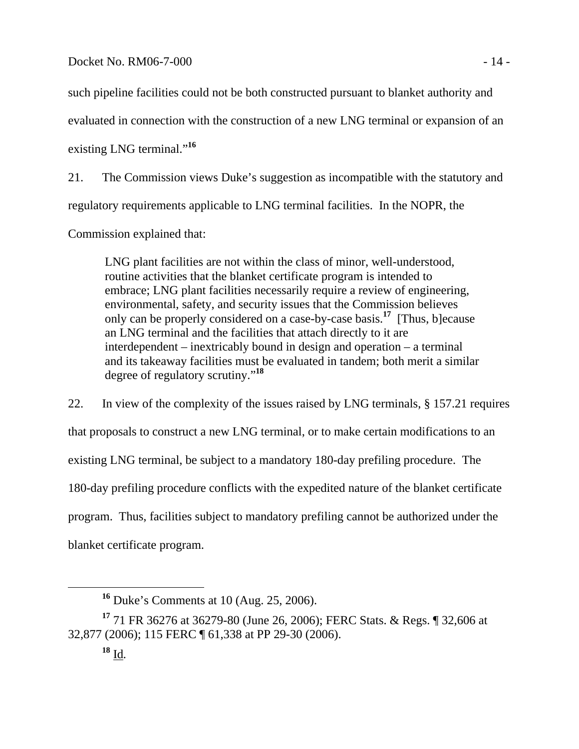such pipeline facilities could not be both constructed pursuant to blanket authority and

evaluated in connection with the construction of a new LNG terminal or expansion of an

existing LNG terminal."<sup>16</sup>

21. The Commission views Duke's suggestion as incompatible with the statutory and regulatory requirements applicable to LNG terminal facilities. In the NOPR, the

Commission explained that:

LNG plant facilities are not within the class of minor, well-understood, routine activities that the blanket certificate program is intended to embrace; LNG plant facilities necessarily require a review of engineering, environmental, safety, and security issues that the Commission believes only can be properly considered on a case-by-case basis.**<sup>17</sup>** [Thus, b]ecause an LNG terminal and the facilities that attach directly to it are interdependent – inextricably bound in design and operation – a terminal and its takeaway facilities must be evaluated in tandem; both merit a similar degree of regulatory scrutiny."**<sup>18</sup>**

22. In view of the complexity of the issues raised by LNG terminals, § 157.21 requires that proposals to construct a new LNG terminal, or to make certain modifications to an existing LNG terminal, be subject to a mandatory 180-day prefiling procedure. The 180-day prefiling procedure conflicts with the expedited nature of the blanket certificate program. Thus, facilities subject to mandatory prefiling cannot be authorized under the blanket certificate program.

**<sup>16</sup>** Duke's Comments at 10 (Aug. 25, 2006).

**<sup>17</sup>** 71 FR 36276 at 36279-80 (June 26, 2006); FERC Stats. & Regs. ¶ 32,606 at 32,877 (2006); 115 FERC ¶ 61,338 at PP 29-30 (2006).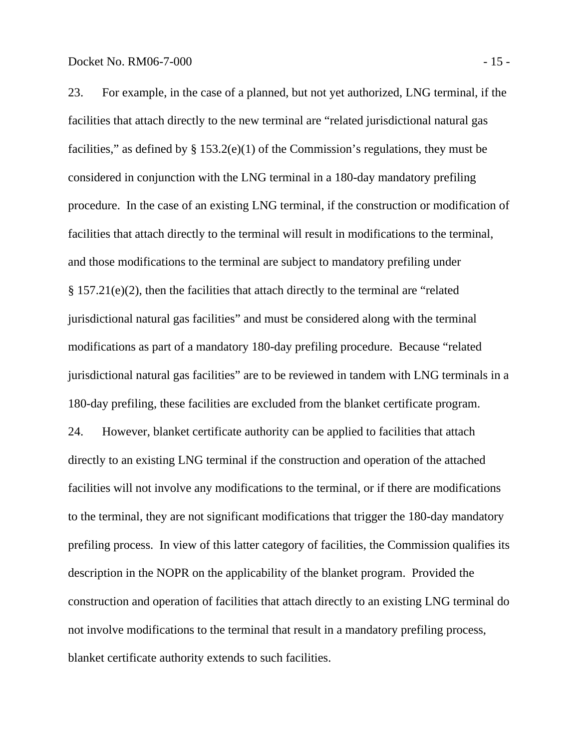23. For example, in the case of a planned, but not yet authorized, LNG terminal, if the facilities that attach directly to the new terminal are "related jurisdictional natural gas facilities," as defined by  $\S 153.2(e)(1)$  of the Commission's regulations, they must be considered in conjunction with the LNG terminal in a 180-day mandatory prefiling procedure. In the case of an existing LNG terminal, if the construction or modification of facilities that attach directly to the terminal will result in modifications to the terminal, and those modifications to the terminal are subject to mandatory prefiling under § 157.21(e)(2), then the facilities that attach directly to the terminal are "related jurisdictional natural gas facilities" and must be considered along with the terminal modifications as part of a mandatory 180-day prefiling procedure. Because "related jurisdictional natural gas facilities" are to be reviewed in tandem with LNG terminals in a 180-day prefiling, these facilities are excluded from the blanket certificate program. 24. However, blanket certificate authority can be applied to facilities that attach directly to an existing LNG terminal if the construction and operation of the attached facilities will not involve any modifications to the terminal, or if there are modifications to the terminal, they are not significant modifications that trigger the 180-day mandatory prefiling process. In view of this latter category of facilities, the Commission qualifies its description in the NOPR on the applicability of the blanket program. Provided the construction and operation of facilities that attach directly to an existing LNG terminal do not involve modifications to the terminal that result in a mandatory prefiling process, blanket certificate authority extends to such facilities.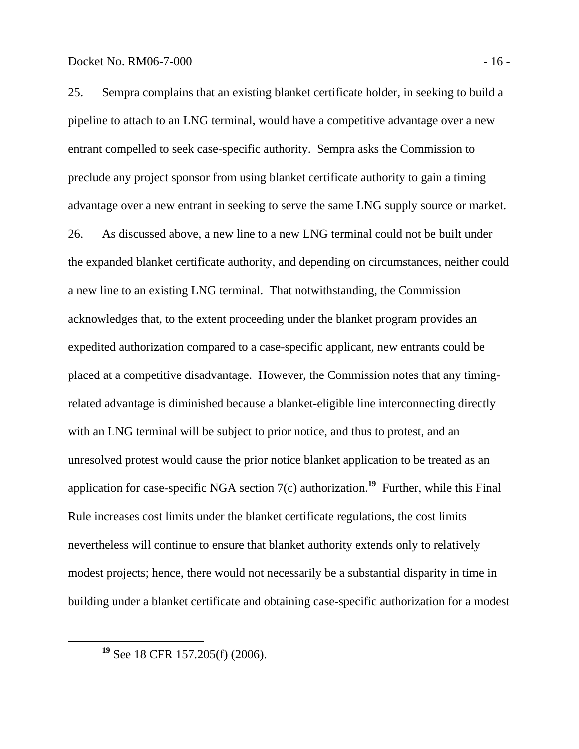25. Sempra complains that an existing blanket certificate holder, in seeking to build a pipeline to attach to an LNG terminal, would have a competitive advantage over a new entrant compelled to seek case-specific authority. Sempra asks the Commission to preclude any project sponsor from using blanket certificate authority to gain a timing advantage over a new entrant in seeking to serve the same LNG supply source or market. 26. As discussed above, a new line to a new LNG terminal could not be built under the expanded blanket certificate authority, and depending on circumstances, neither could a new line to an existing LNG terminal. That notwithstanding, the Commission acknowledges that, to the extent proceeding under the blanket program provides an expedited authorization compared to a case-specific applicant, new entrants could be placed at a competitive disadvantage. However, the Commission notes that any timingrelated advantage is diminished because a blanket-eligible line interconnecting directly with an LNG terminal will be subject to prior notice, and thus to protest, and an unresolved protest would cause the prior notice blanket application to be treated as an application for case-specific NGA section 7(c) authorization.**<sup>19</sup>** Further, while this Final Rule increases cost limits under the blanket certificate regulations, the cost limits nevertheless will continue to ensure that blanket authority extends only to relatively modest projects; hence, there would not necessarily be a substantial disparity in time in building under a blanket certificate and obtaining case-specific authorization for a modest

**<sup>19</sup>** See 18 CFR 157.205(f) (2006).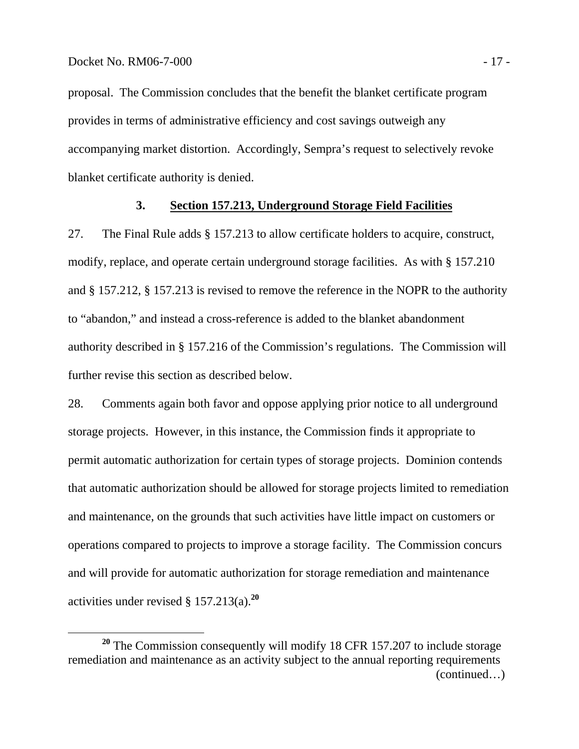proposal. The Commission concludes that the benefit the blanket certificate program provides in terms of administrative efficiency and cost savings outweigh any accompanying market distortion. Accordingly, Sempra's request to selectively revoke blanket certificate authority is denied.

#### **3. Section 157.213, Underground Storage Field Facilities**

27. The Final Rule adds § 157.213 to allow certificate holders to acquire, construct, modify, replace, and operate certain underground storage facilities. As with § 157.210 and § 157.212, § 157.213 is revised to remove the reference in the NOPR to the authority to "abandon," and instead a cross-reference is added to the blanket abandonment authority described in § 157.216 of the Commission's regulations. The Commission will further revise this section as described below.

28. Comments again both favor and oppose applying prior notice to all underground storage projects. However, in this instance, the Commission finds it appropriate to permit automatic authorization for certain types of storage projects. Dominion contends that automatic authorization should be allowed for storage projects limited to remediation and maintenance, on the grounds that such activities have little impact on customers or operations compared to projects to improve a storage facility. The Commission concurs and will provide for automatic authorization for storage remediation and maintenance activities under revised § 157.213(a).**<sup>20</sup>**

**<sup>20</sup>** The Commission consequently will modify 18 CFR 157.207 to include storage remediation and maintenance as an activity subject to the annual reporting requirements (continued…)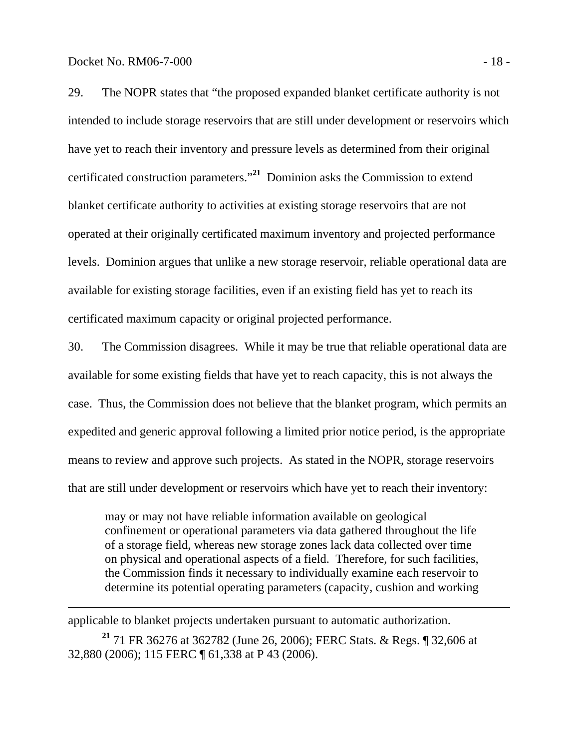$\overline{a}$ 

29. The NOPR states that "the proposed expanded blanket certificate authority is not intended to include storage reservoirs that are still under development or reservoirs which have yet to reach their inventory and pressure levels as determined from their original certificated construction parameters."**<sup>21</sup>** Dominion asks the Commission to extend blanket certificate authority to activities at existing storage reservoirs that are not operated at their originally certificated maximum inventory and projected performance levels. Dominion argues that unlike a new storage reservoir, reliable operational data are available for existing storage facilities, even if an existing field has yet to reach its certificated maximum capacity or original projected performance.

30. The Commission disagrees. While it may be true that reliable operational data are available for some existing fields that have yet to reach capacity, this is not always the case. Thus, the Commission does not believe that the blanket program, which permits an expedited and generic approval following a limited prior notice period, is the appropriate means to review and approve such projects. As stated in the NOPR, storage reservoirs that are still under development or reservoirs which have yet to reach their inventory:

may or may not have reliable information available on geological confinement or operational parameters via data gathered throughout the life of a storage field, whereas new storage zones lack data collected over time on physical and operational aspects of a field. Therefore, for such facilities, the Commission finds it necessary to individually examine each reservoir to determine its potential operating parameters (capacity, cushion and working

applicable to blanket projects undertaken pursuant to automatic authorization.

**<sup>21</sup>** 71 FR 36276 at 362782 (June 26, 2006); FERC Stats. & Regs. ¶ 32,606 at 32,880 (2006); 115 FERC ¶ 61,338 at P 43 (2006).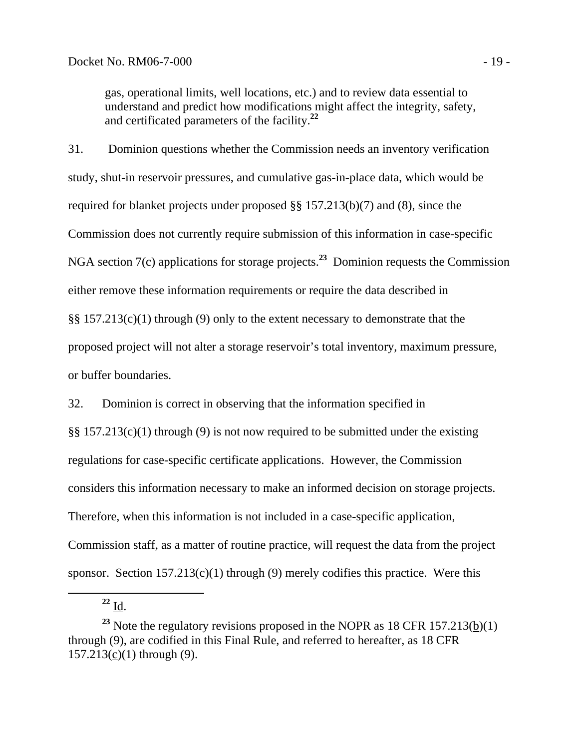gas, operational limits, well locations, etc.) and to review data essential to understand and predict how modifications might affect the integrity, safety, and certificated parameters of the facility.**<sup>22</sup>**

31. Dominion questions whether the Commission needs an inventory verification study, shut-in reservoir pressures, and cumulative gas-in-place data, which would be required for blanket projects under proposed §§ 157.213(b)(7) and (8), since the Commission does not currently require submission of this information in case-specific NGA section 7(c) applications for storage projects.**<sup>23</sup>** Dominion requests the Commission either remove these information requirements or require the data described in §§ 157.213(c)(1) through (9) only to the extent necessary to demonstrate that the proposed project will not alter a storage reservoir's total inventory, maximum pressure, or buffer boundaries.

32. Dominion is correct in observing that the information specified in

§§ 157.213(c)(1) through (9) is not now required to be submitted under the existing regulations for case-specific certificate applications. However, the Commission considers this information necessary to make an informed decision on storage projects. Therefore, when this information is not included in a case-specific application, Commission staff, as a matter of routine practice, will request the data from the project sponsor. Section  $157.213(c)(1)$  through (9) merely codifies this practice. Were this

 $^{22}$  I<u>d</u>.

<sup>&</sup>lt;sup>23</sup> Note the regulatory revisions proposed in the NOPR as  $18$  CFR  $157.213(\underline{b})(1)$ through (9), are codified in this Final Rule, and referred to hereafter, as 18 CFR 157.213(c)(1) through (9).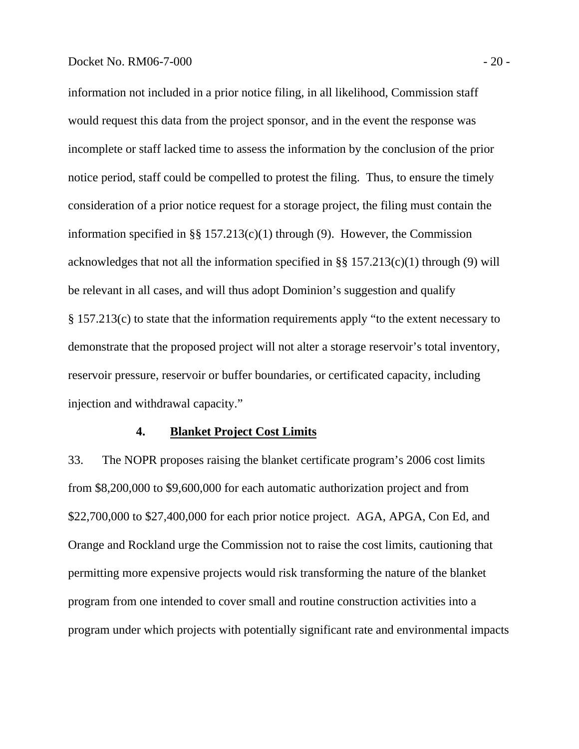#### Docket No. RM06-7-000 - 20 -

information not included in a prior notice filing, in all likelihood, Commission staff would request this data from the project sponsor, and in the event the response was incomplete or staff lacked time to assess the information by the conclusion of the prior notice period, staff could be compelled to protest the filing. Thus, to ensure the timely consideration of a prior notice request for a storage project, the filing must contain the information specified in §§ 157.213(c)(1) through (9). However, the Commission acknowledges that not all the information specified in  $\S$ § 157.213(c)(1) through (9) will be relevant in all cases, and will thus adopt Dominion's suggestion and qualify § 157.213(c) to state that the information requirements apply "to the extent necessary to demonstrate that the proposed project will not alter a storage reservoir's total inventory, reservoir pressure, reservoir or buffer boundaries, or certificated capacity, including injection and withdrawal capacity."

## **4. Blanket Project Cost Limits**

33. The NOPR proposes raising the blanket certificate program's 2006 cost limits from \$8,200,000 to \$9,600,000 for each automatic authorization project and from \$22,700,000 to \$27,400,000 for each prior notice project. AGA, APGA, Con Ed, and Orange and Rockland urge the Commission not to raise the cost limits, cautioning that permitting more expensive projects would risk transforming the nature of the blanket program from one intended to cover small and routine construction activities into a program under which projects with potentially significant rate and environmental impacts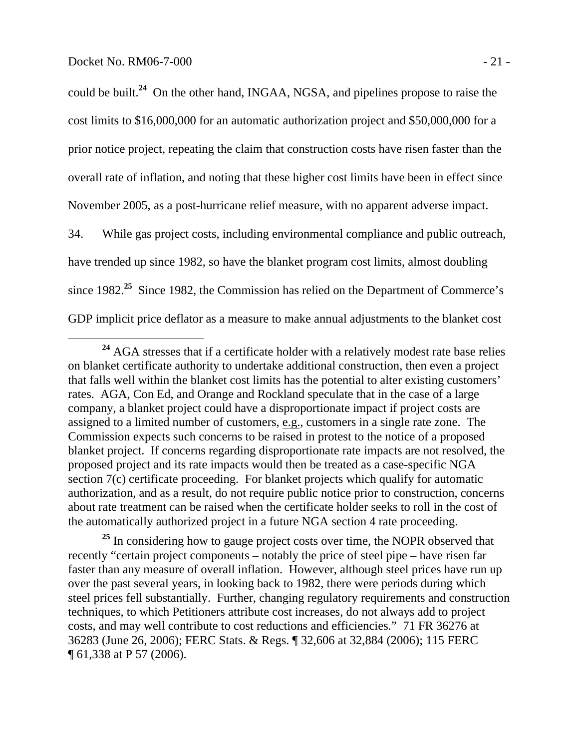could be built.**<sup>24</sup>** On the other hand, INGAA, NGSA, and pipelines propose to raise the cost limits to \$16,000,000 for an automatic authorization project and \$50,000,000 for a prior notice project, repeating the claim that construction costs have risen faster than the overall rate of inflation, and noting that these higher cost limits have been in effect since November 2005, as a post-hurricane relief measure, with no apparent adverse impact.

34. While gas project costs, including environmental compliance and public outreach, have trended up since 1982, so have the blanket program cost limits, almost doubling since 1982.**<sup>25</sup>** Since 1982, the Commission has relied on the Department of Commerce's GDP implicit price deflator as a measure to make annual adjustments to the blanket cost

<sup>&</sup>lt;sup>24</sup> AGA stresses that if a certificate holder with a relatively modest rate base relies on blanket certificate authority to undertake additional construction, then even a project that falls well within the blanket cost limits has the potential to alter existing customers' rates. AGA, Con Ed, and Orange and Rockland speculate that in the case of a large company, a blanket project could have a disproportionate impact if project costs are assigned to a limited number of customers, e.g., customers in a single rate zone. The Commission expects such concerns to be raised in protest to the notice of a proposed blanket project. If concerns regarding disproportionate rate impacts are not resolved, the proposed project and its rate impacts would then be treated as a case-specific NGA section 7(c) certificate proceeding. For blanket projects which qualify for automatic authorization, and as a result, do not require public notice prior to construction, concerns about rate treatment can be raised when the certificate holder seeks to roll in the cost of the automatically authorized project in a future NGA section 4 rate proceeding.

<sup>&</sup>lt;sup>25</sup> In considering how to gauge project costs over time, the NOPR observed that recently "certain project components – notably the price of steel pipe – have risen far faster than any measure of overall inflation. However, although steel prices have run up over the past several years, in looking back to 1982, there were periods during which steel prices fell substantially. Further, changing regulatory requirements and construction techniques, to which Petitioners attribute cost increases, do not always add to project costs, and may well contribute to cost reductions and efficiencies." 71 FR 36276 at 36283 (June 26, 2006); FERC Stats. & Regs. ¶ 32,606 at 32,884 (2006); 115 FERC ¶ 61,338 at P 57 (2006).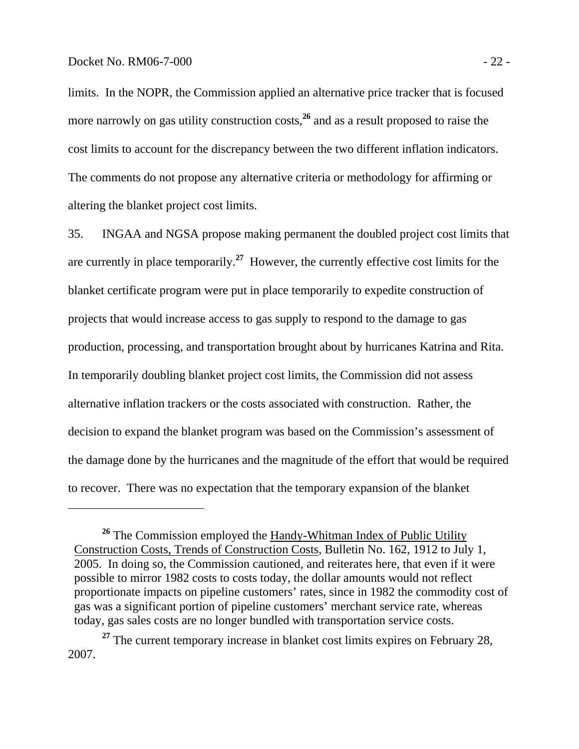$\overline{a}$ 

limits. In the NOPR, the Commission applied an alternative price tracker that is focused more narrowly on gas utility construction costs,<sup>26</sup> and as a result proposed to raise the cost limits to account for the discrepancy between the two different inflation indicators. The comments do not propose any alternative criteria or methodology for affirming or altering the blanket project cost limits.

35. INGAA and NGSA propose making permanent the doubled project cost limits that are currently in place temporarily.**<sup>27</sup>** However, the currently effective cost limits for the blanket certificate program were put in place temporarily to expedite construction of projects that would increase access to gas supply to respond to the damage to gas production, processing, and transportation brought about by hurricanes Katrina and Rita. In temporarily doubling blanket project cost limits, the Commission did not assess alternative inflation trackers or the costs associated with construction. Rather, the decision to expand the blanket program was based on the Commission's assessment of the damage done by the hurricanes and the magnitude of the effort that would be required to recover. There was no expectation that the temporary expansion of the blanket

<sup>&</sup>lt;sup>26</sup> The Commission employed the **Handy-Whitman Index of Public Utility** Construction Costs, Trends of Construction Costs, Bulletin No. 162, 1912 to July 1, 2005. In doing so, the Commission cautioned, and reiterates here, that even if it were possible to mirror 1982 costs to costs today, the dollar amounts would not reflect proportionate impacts on pipeline customers' rates, since in 1982 the commodity cost of gas was a significant portion of pipeline customers' merchant service rate, whereas today, gas sales costs are no longer bundled with transportation service costs.

<sup>&</sup>lt;sup>27</sup> The current temporary increase in blanket cost limits expires on February 28, 2007.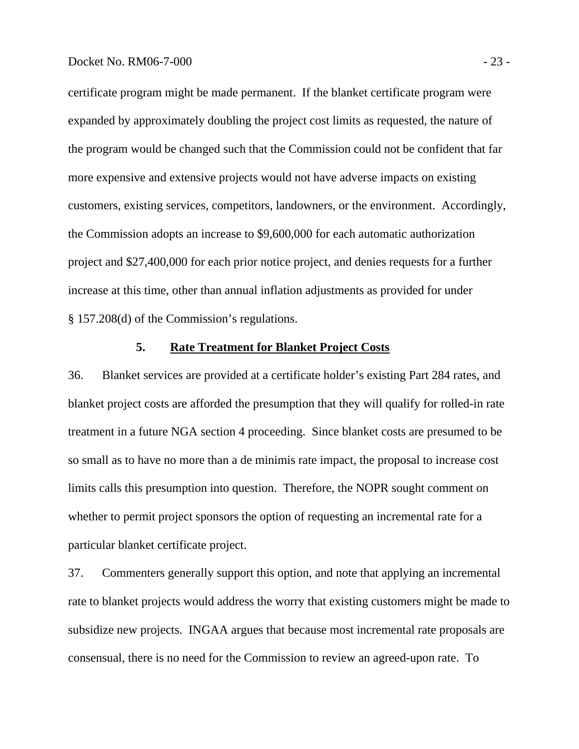certificate program might be made permanent. If the blanket certificate program were expanded by approximately doubling the project cost limits as requested, the nature of the program would be changed such that the Commission could not be confident that far more expensive and extensive projects would not have adverse impacts on existing customers, existing services, competitors, landowners, or the environment. Accordingly, the Commission adopts an increase to \$9,600,000 for each automatic authorization project and \$27,400,000 for each prior notice project, and denies requests for a further increase at this time, other than annual inflation adjustments as provided for under § 157.208(d) of the Commission's regulations.

## **5. Rate Treatment for Blanket Project Costs**

36. Blanket services are provided at a certificate holder's existing Part 284 rates, and blanket project costs are afforded the presumption that they will qualify for rolled-in rate treatment in a future NGA section 4 proceeding. Since blanket costs are presumed to be so small as to have no more than a de minimis rate impact, the proposal to increase cost limits calls this presumption into question. Therefore, the NOPR sought comment on whether to permit project sponsors the option of requesting an incremental rate for a particular blanket certificate project.

37. Commenters generally support this option, and note that applying an incremental rate to blanket projects would address the worry that existing customers might be made to subsidize new projects. INGAA argues that because most incremental rate proposals are consensual, there is no need for the Commission to review an agreed-upon rate. To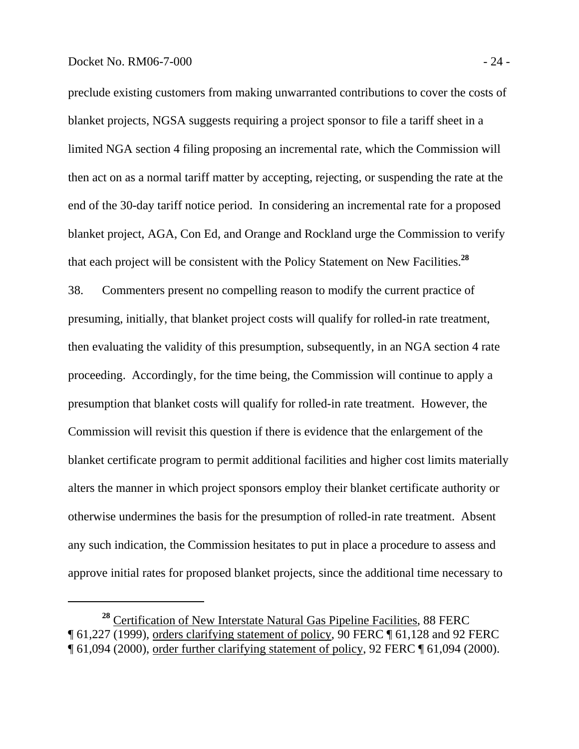$\overline{a}$ 

preclude existing customers from making unwarranted contributions to cover the costs of blanket projects, NGSA suggests requiring a project sponsor to file a tariff sheet in a limited NGA section 4 filing proposing an incremental rate, which the Commission will then act on as a normal tariff matter by accepting, rejecting, or suspending the rate at the end of the 30-day tariff notice period. In considering an incremental rate for a proposed blanket project, AGA, Con Ed, and Orange and Rockland urge the Commission to verify that each project will be consistent with the Policy Statement on New Facilities.**<sup>28</sup>**

38. Commenters present no compelling reason to modify the current practice of presuming, initially, that blanket project costs will qualify for rolled-in rate treatment, then evaluating the validity of this presumption, subsequently, in an NGA section 4 rate proceeding. Accordingly, for the time being, the Commission will continue to apply a presumption that blanket costs will qualify for rolled-in rate treatment. However, the Commission will revisit this question if there is evidence that the enlargement of the blanket certificate program to permit additional facilities and higher cost limits materially alters the manner in which project sponsors employ their blanket certificate authority or otherwise undermines the basis for the presumption of rolled-in rate treatment. Absent any such indication, the Commission hesitates to put in place a procedure to assess and approve initial rates for proposed blanket projects, since the additional time necessary to

**<sup>28</sup>** Certification of New Interstate Natural Gas Pipeline Facilities, 88 FERC ¶ 61,227 (1999), orders clarifying statement of policy, 90 FERC ¶ 61,128 and 92 FERC ¶ 61,094 (2000), order further clarifying statement of policy, 92 FERC ¶ 61,094 (2000).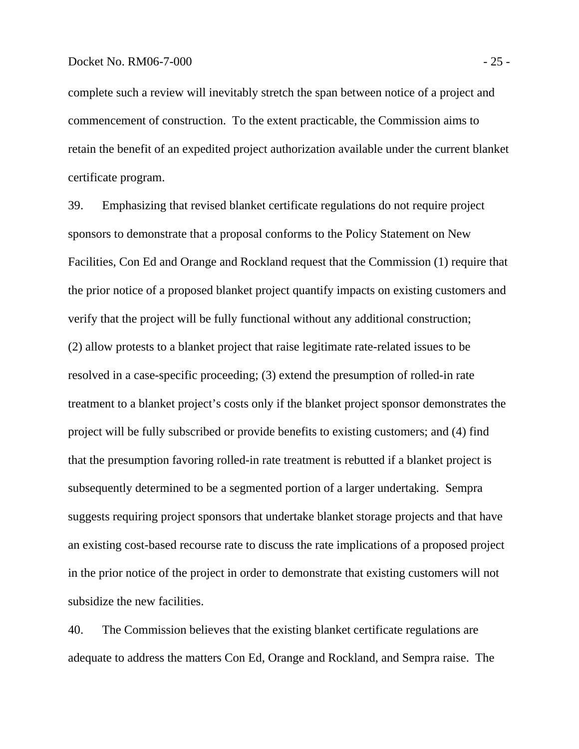#### Docket No. RM06-7-000 - 25 -

complete such a review will inevitably stretch the span between notice of a project and commencement of construction. To the extent practicable, the Commission aims to retain the benefit of an expedited project authorization available under the current blanket certificate program.

39. Emphasizing that revised blanket certificate regulations do not require project sponsors to demonstrate that a proposal conforms to the Policy Statement on New Facilities, Con Ed and Orange and Rockland request that the Commission (1) require that the prior notice of a proposed blanket project quantify impacts on existing customers and verify that the project will be fully functional without any additional construction; (2) allow protests to a blanket project that raise legitimate rate-related issues to be resolved in a case-specific proceeding; (3) extend the presumption of rolled-in rate treatment to a blanket project's costs only if the blanket project sponsor demonstrates the project will be fully subscribed or provide benefits to existing customers; and (4) find that the presumption favoring rolled-in rate treatment is rebutted if a blanket project is subsequently determined to be a segmented portion of a larger undertaking. Sempra suggests requiring project sponsors that undertake blanket storage projects and that have an existing cost-based recourse rate to discuss the rate implications of a proposed project in the prior notice of the project in order to demonstrate that existing customers will not subsidize the new facilities.

40. The Commission believes that the existing blanket certificate regulations are adequate to address the matters Con Ed, Orange and Rockland, and Sempra raise. The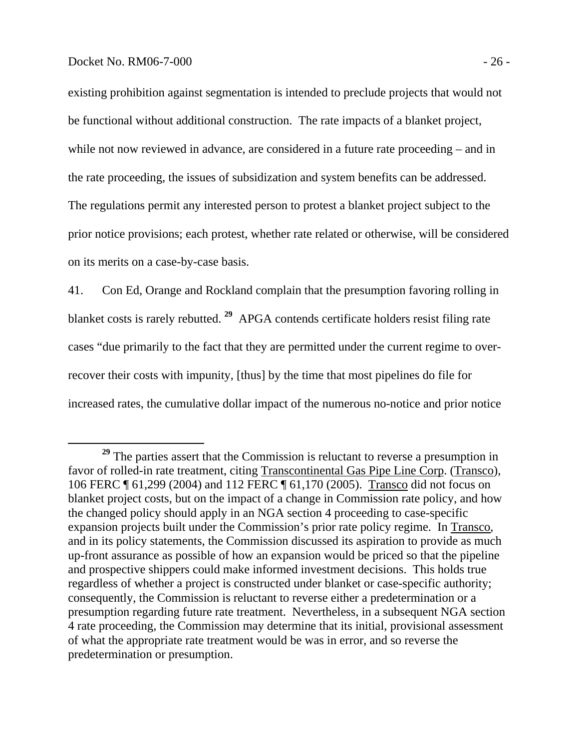## Docket No. RM06-7-000 - 26 -

existing prohibition against segmentation is intended to preclude projects that would not be functional without additional construction. The rate impacts of a blanket project, while not now reviewed in advance, are considered in a future rate proceeding – and in the rate proceeding, the issues of subsidization and system benefits can be addressed. The regulations permit any interested person to protest a blanket project subject to the prior notice provisions; each protest, whether rate related or otherwise, will be considered on its merits on a case-by-case basis.

41. Con Ed, Orange and Rockland complain that the presumption favoring rolling in blanket costs is rarely rebutted. **<sup>29</sup>** APGA contends certificate holders resist filing rate cases "due primarily to the fact that they are permitted under the current regime to overrecover their costs with impunity, [thus] by the time that most pipelines do file for increased rates, the cumulative dollar impact of the numerous no-notice and prior notice

**<sup>29</sup>** The parties assert that the Commission is reluctant to reverse a presumption in favor of rolled-in rate treatment, citing Transcontinental Gas Pipe Line Corp. (Transco), 106 FERC ¶ 61,299 (2004) and 112 FERC ¶ 61,170 (2005). Transco did not focus on blanket project costs, but on the impact of a change in Commission rate policy, and how the changed policy should apply in an NGA section 4 proceeding to case-specific expansion projects built under the Commission's prior rate policy regime. In Transco, and in its policy statements, the Commission discussed its aspiration to provide as much up-front assurance as possible of how an expansion would be priced so that the pipeline and prospective shippers could make informed investment decisions. This holds true regardless of whether a project is constructed under blanket or case-specific authority; consequently, the Commission is reluctant to reverse either a predetermination or a presumption regarding future rate treatment. Nevertheless, in a subsequent NGA section 4 rate proceeding, the Commission may determine that its initial, provisional assessment of what the appropriate rate treatment would be was in error, and so reverse the predetermination or presumption.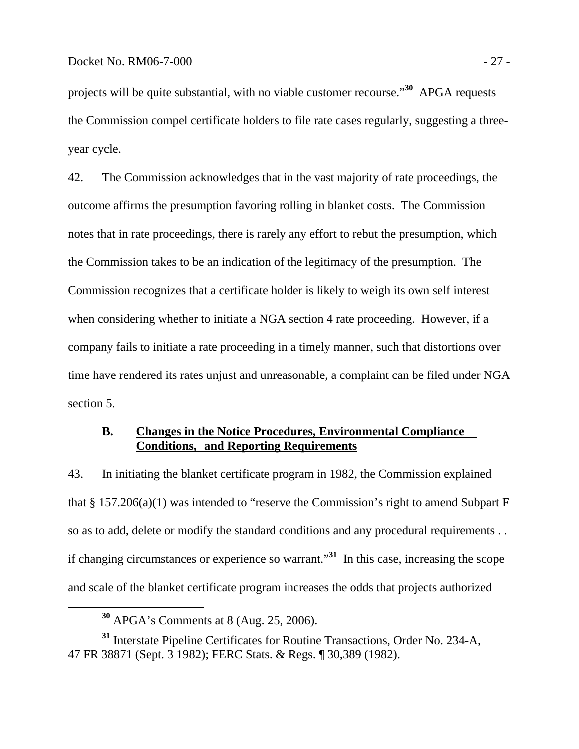projects will be quite substantial, with no viable customer recourse."**<sup>30</sup>** APGA requests the Commission compel certificate holders to file rate cases regularly, suggesting a threeyear cycle.

42. The Commission acknowledges that in the vast majority of rate proceedings, the outcome affirms the presumption favoring rolling in blanket costs. The Commission notes that in rate proceedings, there is rarely any effort to rebut the presumption, which the Commission takes to be an indication of the legitimacy of the presumption. The Commission recognizes that a certificate holder is likely to weigh its own self interest when considering whether to initiate a NGA section 4 rate proceeding. However, if a company fails to initiate a rate proceeding in a timely manner, such that distortions over time have rendered its rates unjust and unreasonable, a complaint can be filed under NGA section 5.

## **B. Changes in the Notice Procedures, Environmental Compliance Conditions, and Reporting Requirements**

43. In initiating the blanket certificate program in 1982, the Commission explained that  $\S 157.206(a)(1)$  was intended to "reserve the Commission's right to amend Subpart F so as to add, delete or modify the standard conditions and any procedural requirements . . if changing circumstances or experience so warrant."**<sup>31</sup>** In this case, increasing the scope and scale of the blanket certificate program increases the odds that projects authorized

**<sup>30</sup>** APGA's Comments at 8 (Aug. 25, 2006).

**<sup>31</sup>** Interstate Pipeline Certificates for Routine Transactions, Order No. 234-A, 47 FR 38871 (Sept. 3 1982); FERC Stats. & Regs. ¶ 30,389 (1982).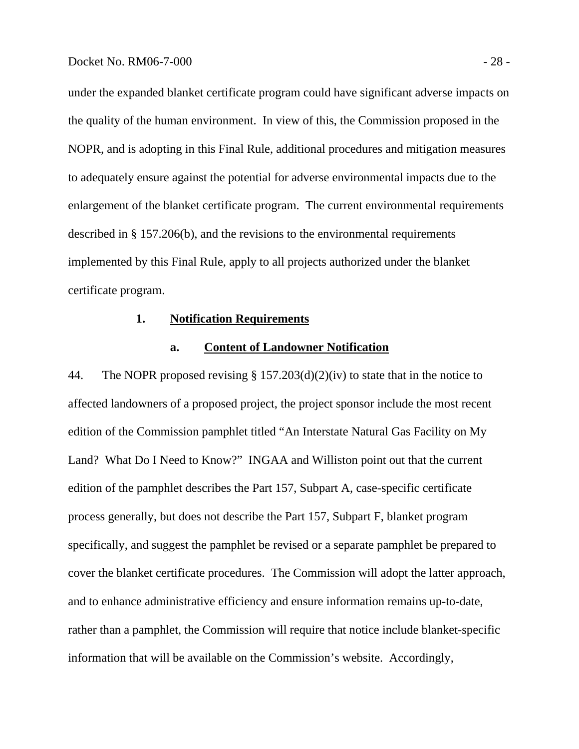under the expanded blanket certificate program could have significant adverse impacts on the quality of the human environment. In view of this, the Commission proposed in the NOPR, and is adopting in this Final Rule, additional procedures and mitigation measures to adequately ensure against the potential for adverse environmental impacts due to the enlargement of the blanket certificate program. The current environmental requirements described in § 157.206(b), and the revisions to the environmental requirements implemented by this Final Rule, apply to all projects authorized under the blanket certificate program.

## **1. Notification Requirements**

## **a. Content of Landowner Notification**

44. The NOPR proposed revising § 157.203(d)(2)(iv) to state that in the notice to affected landowners of a proposed project, the project sponsor include the most recent edition of the Commission pamphlet titled "An Interstate Natural Gas Facility on My Land? What Do I Need to Know?" INGAA and Williston point out that the current edition of the pamphlet describes the Part 157, Subpart A, case-specific certificate process generally, but does not describe the Part 157, Subpart F, blanket program specifically, and suggest the pamphlet be revised or a separate pamphlet be prepared to cover the blanket certificate procedures. The Commission will adopt the latter approach, and to enhance administrative efficiency and ensure information remains up-to-date, rather than a pamphlet, the Commission will require that notice include blanket-specific information that will be available on the Commission's website. Accordingly,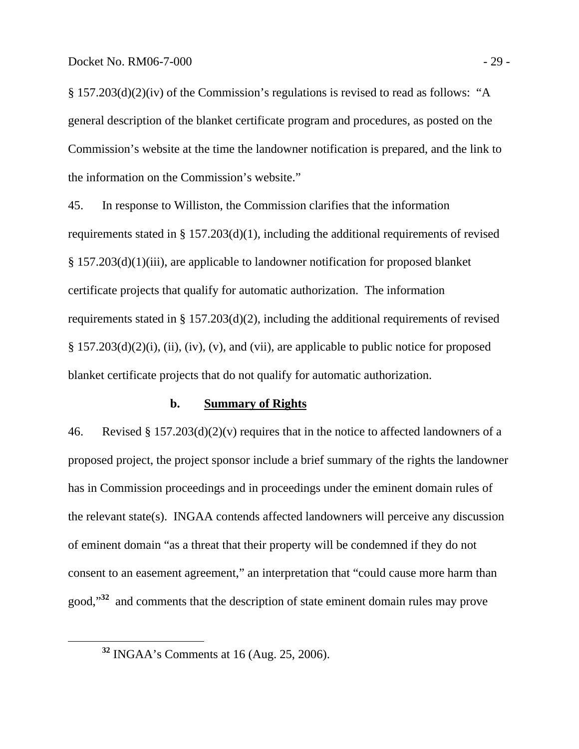§ 157.203(d)(2)(iv) of the Commission's regulations is revised to read as follows: "A general description of the blanket certificate program and procedures, as posted on the Commission's website at the time the landowner notification is prepared, and the link to the information on the Commission's website."

45. In response to Williston, the Commission clarifies that the information requirements stated in § 157.203(d)(1), including the additional requirements of revised § 157.203(d)(1)(iii), are applicable to landowner notification for proposed blanket certificate projects that qualify for automatic authorization. The information requirements stated in § 157.203(d)(2), including the additional requirements of revised  $\S$  157.203(d)(2)(i), (ii), (iv), (v), and (vii), are applicable to public notice for proposed blanket certificate projects that do not qualify for automatic authorization.

## **b. Summary of Rights**

46. Revised § 157.203(d)(2)(v) requires that in the notice to affected landowners of a proposed project, the project sponsor include a brief summary of the rights the landowner has in Commission proceedings and in proceedings under the eminent domain rules of the relevant state(s). INGAA contends affected landowners will perceive any discussion of eminent domain "as a threat that their property will be condemned if they do not consent to an easement agreement," an interpretation that "could cause more harm than good,"**<sup>32</sup>** and comments that the description of state eminent domain rules may prove

**<sup>32</sup>** INGAA's Comments at 16 (Aug. 25, 2006).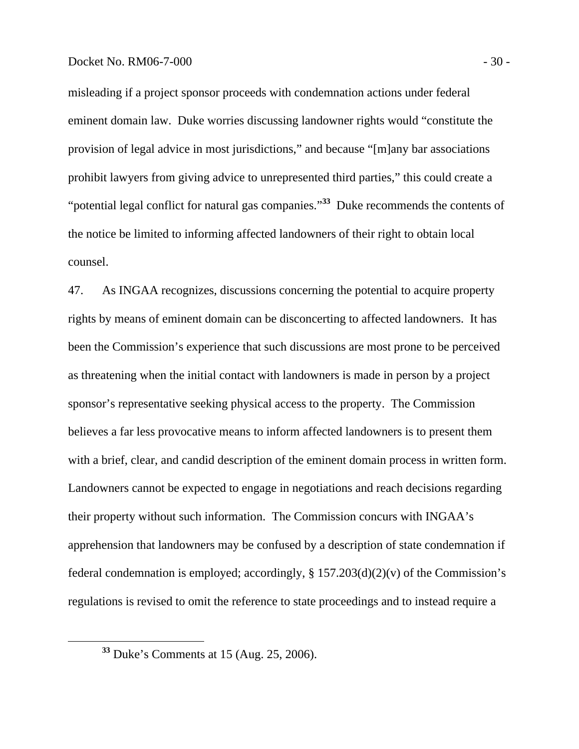misleading if a project sponsor proceeds with condemnation actions under federal eminent domain law. Duke worries discussing landowner rights would "constitute the provision of legal advice in most jurisdictions," and because "[m]any bar associations prohibit lawyers from giving advice to unrepresented third parties," this could create a "potential legal conflict for natural gas companies."**<sup>33</sup>** Duke recommends the contents of the notice be limited to informing affected landowners of their right to obtain local counsel.

47. As INGAA recognizes, discussions concerning the potential to acquire property rights by means of eminent domain can be disconcerting to affected landowners. It has been the Commission's experience that such discussions are most prone to be perceived as threatening when the initial contact with landowners is made in person by a project sponsor's representative seeking physical access to the property. The Commission believes a far less provocative means to inform affected landowners is to present them with a brief, clear, and candid description of the eminent domain process in written form. Landowners cannot be expected to engage in negotiations and reach decisions regarding their property without such information. The Commission concurs with INGAA's apprehension that landowners may be confused by a description of state condemnation if federal condemnation is employed; accordingly,  $\S 157.203(d)(2)(v)$  of the Commission's regulations is revised to omit the reference to state proceedings and to instead require a

**<sup>33</sup>** Duke's Comments at 15 (Aug. 25, 2006).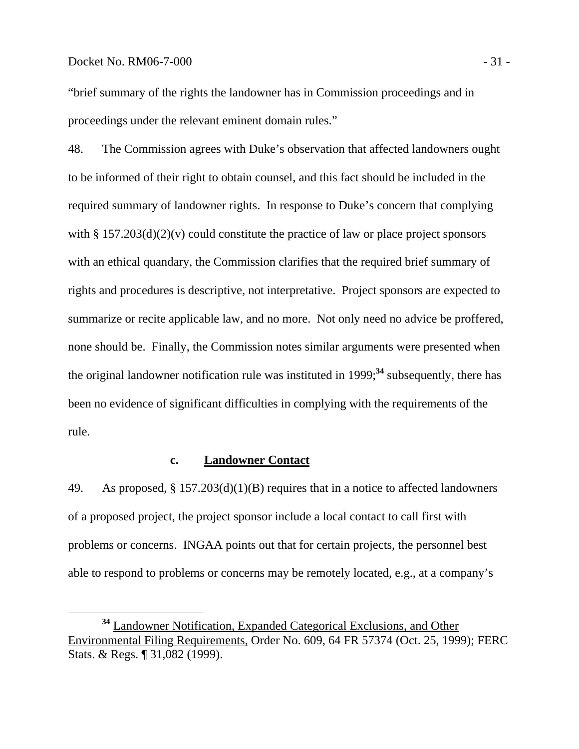## Docket No. RM06-7-000 - 31 -

"brief summary of the rights the landowner has in Commission proceedings and in proceedings under the relevant eminent domain rules."

48. The Commission agrees with Duke's observation that affected landowners ought to be informed of their right to obtain counsel, and this fact should be included in the required summary of landowner rights. In response to Duke's concern that complying with  $\S 157.203(d)(2)(v)$  could constitute the practice of law or place project sponsors with an ethical quandary, the Commission clarifies that the required brief summary of rights and procedures is descriptive, not interpretative. Project sponsors are expected to summarize or recite applicable law, and no more. Not only need no advice be proffered, none should be. Finally, the Commission notes similar arguments were presented when the original landowner notification rule was instituted in 1999;**<sup>34</sup>** subsequently, there has been no evidence of significant difficulties in complying with the requirements of the rule.

## **c. Landowner Contact**

49. As proposed, § 157.203(d)(1)(B) requires that in a notice to affected landowners of a proposed project, the project sponsor include a local contact to call first with problems or concerns. INGAA points out that for certain projects, the personnel best able to respond to problems or concerns may be remotely located, e.g., at a company's

**<sup>34</sup>** Landowner Notification, Expanded Categorical Exclusions, and Other Environmental Filing Requirements, Order No. 609, 64 FR 57374 (Oct. 25, 1999); FERC Stats. & Regs. ¶ 31,082 (1999).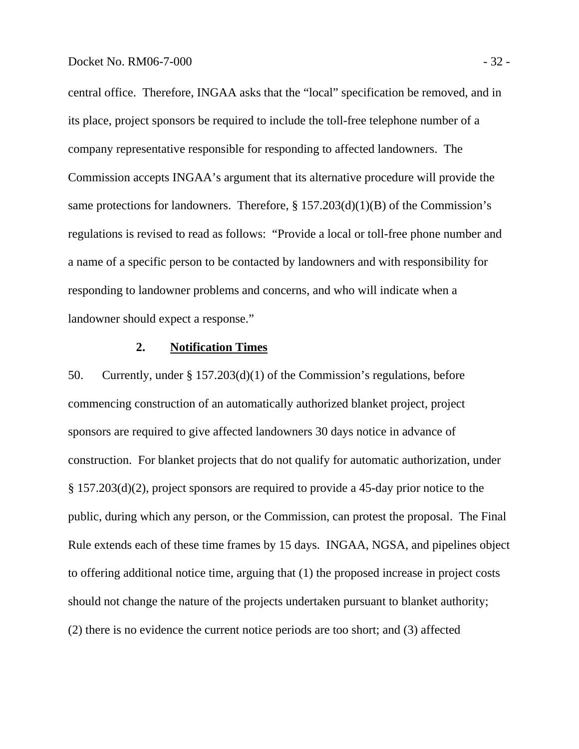central office. Therefore, INGAA asks that the "local" specification be removed, and in its place, project sponsors be required to include the toll-free telephone number of a company representative responsible for responding to affected landowners. The Commission accepts INGAA's argument that its alternative procedure will provide the same protections for landowners. Therefore,  $\S 157.203(d)(1)(B)$  of the Commission's regulations is revised to read as follows: "Provide a local or toll-free phone number and a name of a specific person to be contacted by landowners and with responsibility for responding to landowner problems and concerns, and who will indicate when a landowner should expect a response."

## **2. Notification Times**

50. Currently, under § 157.203(d)(1) of the Commission's regulations, before commencing construction of an automatically authorized blanket project, project sponsors are required to give affected landowners 30 days notice in advance of construction. For blanket projects that do not qualify for automatic authorization, under § 157.203(d)(2), project sponsors are required to provide a 45-day prior notice to the public, during which any person, or the Commission, can protest the proposal. The Final Rule extends each of these time frames by 15 days. INGAA, NGSA, and pipelines object to offering additional notice time, arguing that (1) the proposed increase in project costs should not change the nature of the projects undertaken pursuant to blanket authority; (2) there is no evidence the current notice periods are too short; and (3) affected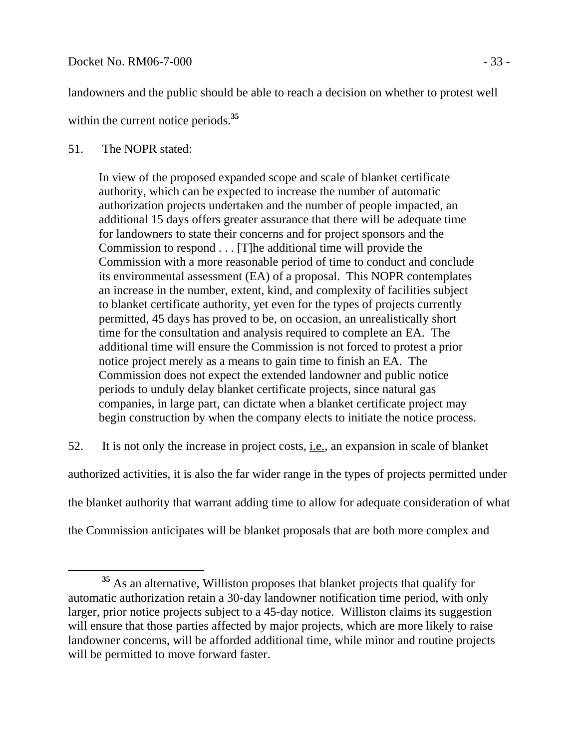landowners and the public should be able to reach a decision on whether to protest well

within the current notice periods.**<sup>35</sup>**

## 51. The NOPR stated:

In view of the proposed expanded scope and scale of blanket certificate authority, which can be expected to increase the number of automatic authorization projects undertaken and the number of people impacted, an additional 15 days offers greater assurance that there will be adequate time for landowners to state their concerns and for project sponsors and the Commission to respond . . . [T]he additional time will provide the Commission with a more reasonable period of time to conduct and conclude its environmental assessment (EA) of a proposal. This NOPR contemplates an increase in the number, extent, kind, and complexity of facilities subject to blanket certificate authority, yet even for the types of projects currently permitted, 45 days has proved to be, on occasion, an unrealistically short time for the consultation and analysis required to complete an EA. The additional time will ensure the Commission is not forced to protest a prior notice project merely as a means to gain time to finish an EA. The Commission does not expect the extended landowner and public notice periods to unduly delay blanket certificate projects, since natural gas companies, in large part, can dictate when a blanket certificate project may begin construction by when the company elects to initiate the notice process.

52. It is not only the increase in project costs, i.e., an expansion in scale of blanket

authorized activities, it is also the far wider range in the types of projects permitted under the blanket authority that warrant adding time to allow for adequate consideration of what

the Commission anticipates will be blanket proposals that are both more complex and

**<sup>35</sup>** As an alternative, Williston proposes that blanket projects that qualify for automatic authorization retain a 30-day landowner notification time period, with only larger, prior notice projects subject to a 45-day notice. Williston claims its suggestion will ensure that those parties affected by major projects, which are more likely to raise landowner concerns, will be afforded additional time, while minor and routine projects will be permitted to move forward faster.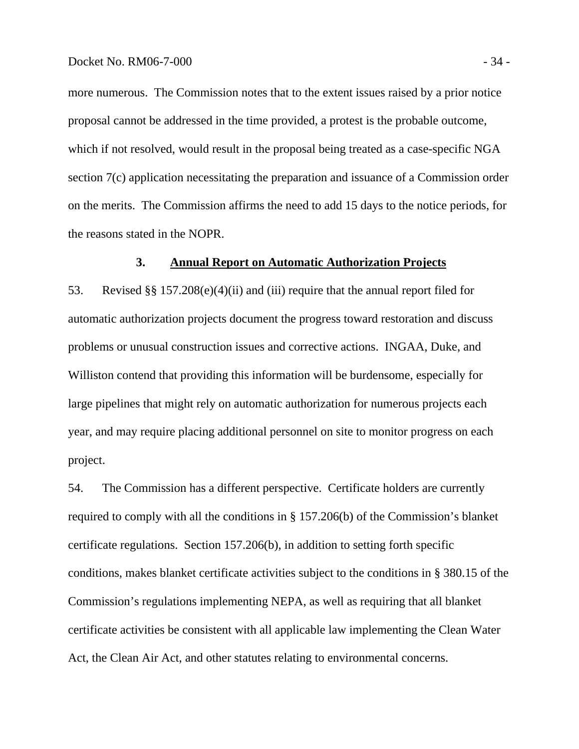more numerous. The Commission notes that to the extent issues raised by a prior notice proposal cannot be addressed in the time provided, a protest is the probable outcome, which if not resolved, would result in the proposal being treated as a case-specific NGA section 7(c) application necessitating the preparation and issuance of a Commission order on the merits. The Commission affirms the need to add 15 days to the notice periods, for the reasons stated in the NOPR.

## **3. Annual Report on Automatic Authorization Projects**

53. Revised §§ 157.208(e)(4)(ii) and (iii) require that the annual report filed for automatic authorization projects document the progress toward restoration and discuss problems or unusual construction issues and corrective actions. INGAA, Duke, and Williston contend that providing this information will be burdensome, especially for large pipelines that might rely on automatic authorization for numerous projects each year, and may require placing additional personnel on site to monitor progress on each project.

54. The Commission has a different perspective. Certificate holders are currently required to comply with all the conditions in § 157.206(b) of the Commission's blanket certificate regulations. Section 157.206(b), in addition to setting forth specific conditions, makes blanket certificate activities subject to the conditions in § 380.15 of the Commission's regulations implementing NEPA, as well as requiring that all blanket certificate activities be consistent with all applicable law implementing the Clean Water Act, the Clean Air Act, and other statutes relating to environmental concerns.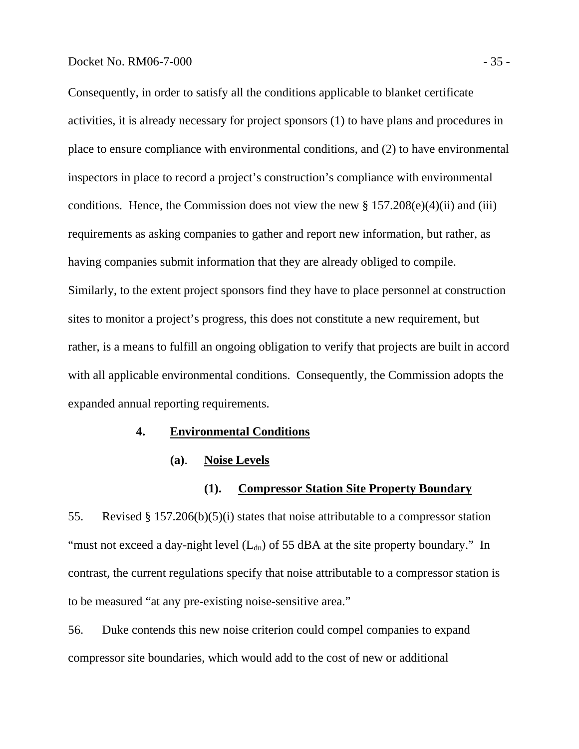#### Docket No. RM06-7-000 - 35 -

Consequently, in order to satisfy all the conditions applicable to blanket certificate activities, it is already necessary for project sponsors (1) to have plans and procedures in place to ensure compliance with environmental conditions, and (2) to have environmental inspectors in place to record a project's construction's compliance with environmental conditions. Hence, the Commission does not view the new  $\S 157.208(e)(4)(ii)$  and (iii) requirements as asking companies to gather and report new information, but rather, as having companies submit information that they are already obliged to compile. Similarly, to the extent project sponsors find they have to place personnel at construction sites to monitor a project's progress, this does not constitute a new requirement, but rather, is a means to fulfill an ongoing obligation to verify that projects are built in accord with all applicable environmental conditions. Consequently, the Commission adopts the expanded annual reporting requirements.

#### **4. Environmental Conditions**

## **(a)**. **Noise Levels**

#### **(1). Compressor Station Site Property Boundary**

55. Revised § 157.206(b)(5)(i) states that noise attributable to a compressor station "must not exceed a day-night level  $(L_{dn})$  of 55 dBA at the site property boundary." In contrast, the current regulations specify that noise attributable to a compressor station is to be measured "at any pre-existing noise-sensitive area."

56. Duke contends this new noise criterion could compel companies to expand compressor site boundaries, which would add to the cost of new or additional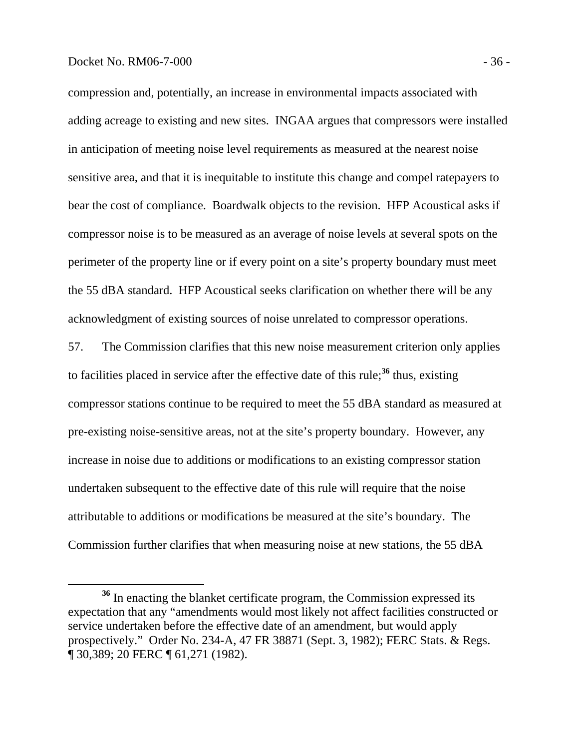#### Docket No. RM06-7-000 - 36 -

compression and, potentially, an increase in environmental impacts associated with adding acreage to existing and new sites. INGAA argues that compressors were installed in anticipation of meeting noise level requirements as measured at the nearest noise sensitive area, and that it is inequitable to institute this change and compel ratepayers to bear the cost of compliance. Boardwalk objects to the revision. HFP Acoustical asks if compressor noise is to be measured as an average of noise levels at several spots on the perimeter of the property line or if every point on a site's property boundary must meet the 55 dBA standard. HFP Acoustical seeks clarification on whether there will be any acknowledgment of existing sources of noise unrelated to compressor operations.

57. The Commission clarifies that this new noise measurement criterion only applies to facilities placed in service after the effective date of this rule;**<sup>36</sup>** thus, existing compressor stations continue to be required to meet the 55 dBA standard as measured at pre-existing noise-sensitive areas, not at the site's property boundary. However, any increase in noise due to additions or modifications to an existing compressor station undertaken subsequent to the effective date of this rule will require that the noise attributable to additions or modifications be measured at the site's boundary. The Commission further clarifies that when measuring noise at new stations, the 55 dBA

**<sup>36</sup>** In enacting the blanket certificate program, the Commission expressed its expectation that any "amendments would most likely not affect facilities constructed or service undertaken before the effective date of an amendment, but would apply prospectively." Order No. 234-A, 47 FR 38871 (Sept. 3, 1982); FERC Stats. & Regs. ¶ 30,389; 20 FERC ¶ 61,271 (1982).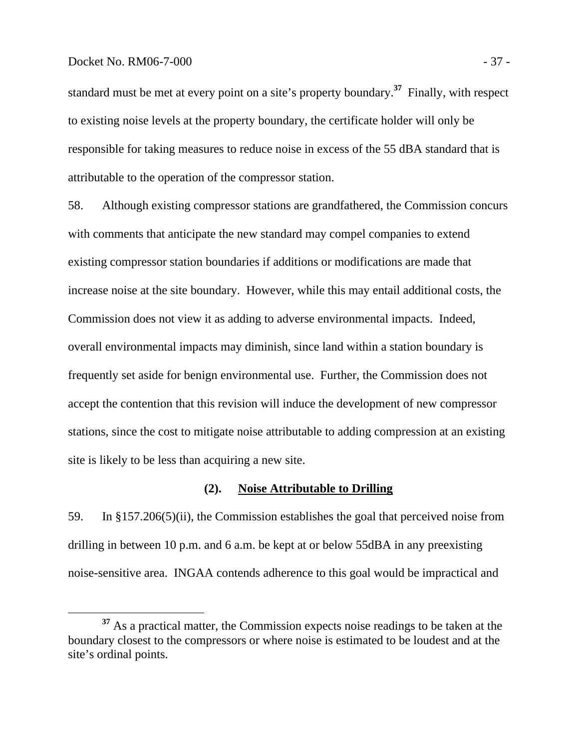#### Docket No. RM06-7-000 - 37 -

standard must be met at every point on a site's property boundary.**<sup>37</sup>** Finally, with respect to existing noise levels at the property boundary, the certificate holder will only be responsible for taking measures to reduce noise in excess of the 55 dBA standard that is attributable to the operation of the compressor station.

58. Although existing compressor stations are grandfathered, the Commission concurs with comments that anticipate the new standard may compel companies to extend existing compressor station boundaries if additions or modifications are made that increase noise at the site boundary. However, while this may entail additional costs, the Commission does not view it as adding to adverse environmental impacts. Indeed, overall environmental impacts may diminish, since land within a station boundary is frequently set aside for benign environmental use. Further, the Commission does not accept the contention that this revision will induce the development of new compressor stations, since the cost to mitigate noise attributable to adding compression at an existing site is likely to be less than acquiring a new site.

#### **(2). Noise Attributable to Drilling**

59. In §157.206(5)(ii), the Commission establishes the goal that perceived noise from drilling in between 10 p.m. and 6 a.m. be kept at or below 55dBA in any preexisting noise-sensitive area. INGAA contends adherence to this goal would be impractical and

**<sup>37</sup>** As a practical matter, the Commission expects noise readings to be taken at the boundary closest to the compressors or where noise is estimated to be loudest and at the site's ordinal points.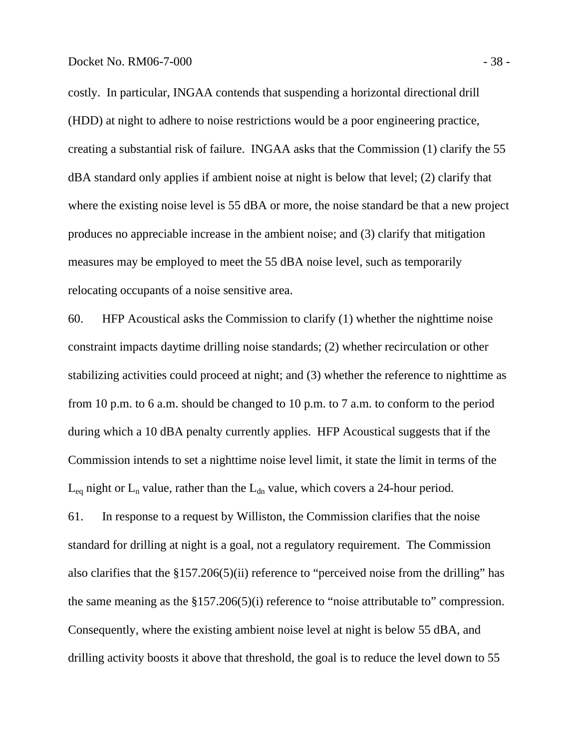costly. In particular, INGAA contends that suspending a horizontal directional drill (HDD) at night to adhere to noise restrictions would be a poor engineering practice, creating a substantial risk of failure. INGAA asks that the Commission (1) clarify the 55 dBA standard only applies if ambient noise at night is below that level; (2) clarify that where the existing noise level is 55 dBA or more, the noise standard be that a new project produces no appreciable increase in the ambient noise; and (3) clarify that mitigation measures may be employed to meet the 55 dBA noise level, such as temporarily relocating occupants of a noise sensitive area.

60. HFP Acoustical asks the Commission to clarify (1) whether the nighttime noise constraint impacts daytime drilling noise standards; (2) whether recirculation or other stabilizing activities could proceed at night; and (3) whether the reference to nighttime as from 10 p.m. to 6 a.m. should be changed to 10 p.m. to 7 a.m. to conform to the period during which a 10 dBA penalty currently applies. HFP Acoustical suggests that if the Commission intends to set a nighttime noise level limit, it state the limit in terms of the  $L_{eq}$  night or  $L_n$  value, rather than the  $L_{dn}$  value, which covers a 24-hour period.

61. In response to a request by Williston, the Commission clarifies that the noise standard for drilling at night is a goal, not a regulatory requirement. The Commission also clarifies that the §157.206(5)(ii) reference to "perceived noise from the drilling" has the same meaning as the §157.206(5)(i) reference to "noise attributable to" compression. Consequently, where the existing ambient noise level at night is below 55 dBA, and drilling activity boosts it above that threshold, the goal is to reduce the level down to 55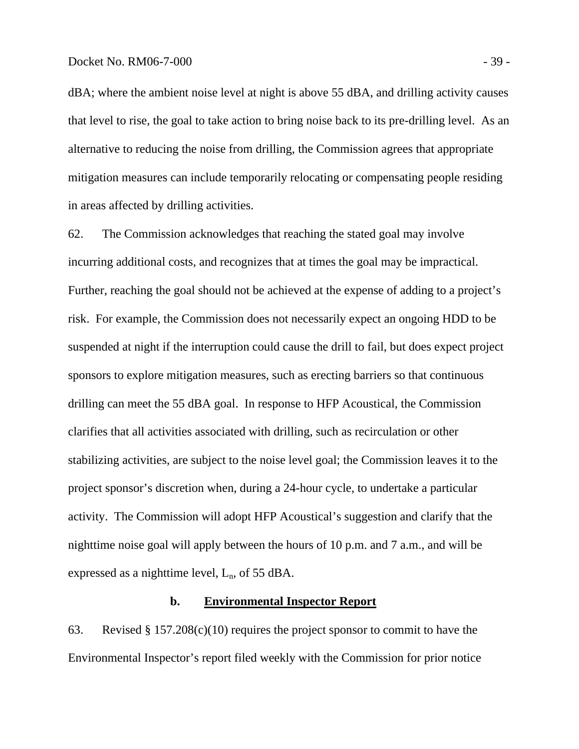dBA; where the ambient noise level at night is above 55 dBA, and drilling activity causes that level to rise, the goal to take action to bring noise back to its pre-drilling level. As an alternative to reducing the noise from drilling, the Commission agrees that appropriate mitigation measures can include temporarily relocating or compensating people residing in areas affected by drilling activities.

62. The Commission acknowledges that reaching the stated goal may involve incurring additional costs, and recognizes that at times the goal may be impractical. Further, reaching the goal should not be achieved at the expense of adding to a project's risk. For example, the Commission does not necessarily expect an ongoing HDD to be suspended at night if the interruption could cause the drill to fail, but does expect project sponsors to explore mitigation measures, such as erecting barriers so that continuous drilling can meet the 55 dBA goal. In response to HFP Acoustical, the Commission clarifies that all activities associated with drilling, such as recirculation or other stabilizing activities, are subject to the noise level goal; the Commission leaves it to the project sponsor's discretion when, during a 24-hour cycle, to undertake a particular activity. The Commission will adopt HFP Acoustical's suggestion and clarify that the nighttime noise goal will apply between the hours of 10 p.m. and 7 a.m., and will be expressed as a nighttime level,  $L_n$ , of 55 dBA.

## **b. Environmental Inspector Report**

63. Revised § 157.208(c)(10) requires the project sponsor to commit to have the Environmental Inspector's report filed weekly with the Commission for prior notice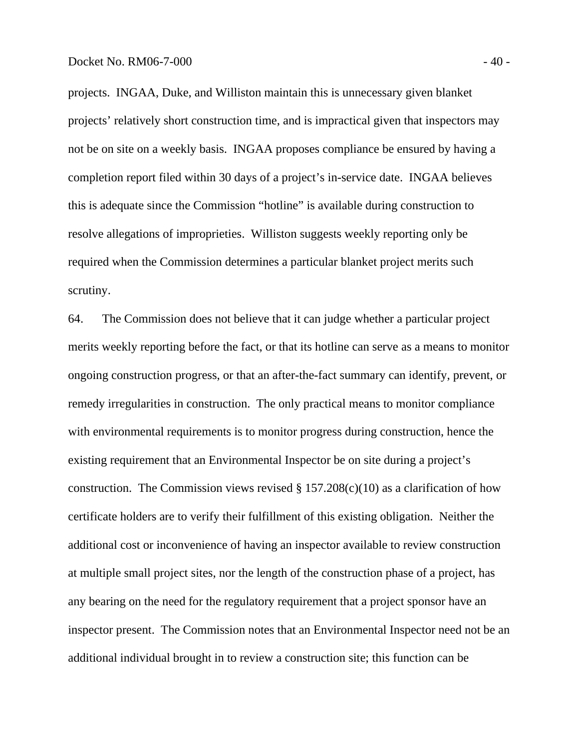projects. INGAA, Duke, and Williston maintain this is unnecessary given blanket projects' relatively short construction time, and is impractical given that inspectors may not be on site on a weekly basis. INGAA proposes compliance be ensured by having a completion report filed within 30 days of a project's in-service date. INGAA believes this is adequate since the Commission "hotline" is available during construction to resolve allegations of improprieties. Williston suggests weekly reporting only be required when the Commission determines a particular blanket project merits such scrutiny.

64. The Commission does not believe that it can judge whether a particular project merits weekly reporting before the fact, or that its hotline can serve as a means to monitor ongoing construction progress, or that an after-the-fact summary can identify, prevent, or remedy irregularities in construction. The only practical means to monitor compliance with environmental requirements is to monitor progress during construction, hence the existing requirement that an Environmental Inspector be on site during a project's construction. The Commission views revised  $\S 157.208(c)(10)$  as a clarification of how certificate holders are to verify their fulfillment of this existing obligation. Neither the additional cost or inconvenience of having an inspector available to review construction at multiple small project sites, nor the length of the construction phase of a project, has any bearing on the need for the regulatory requirement that a project sponsor have an inspector present. The Commission notes that an Environmental Inspector need not be an additional individual brought in to review a construction site; this function can be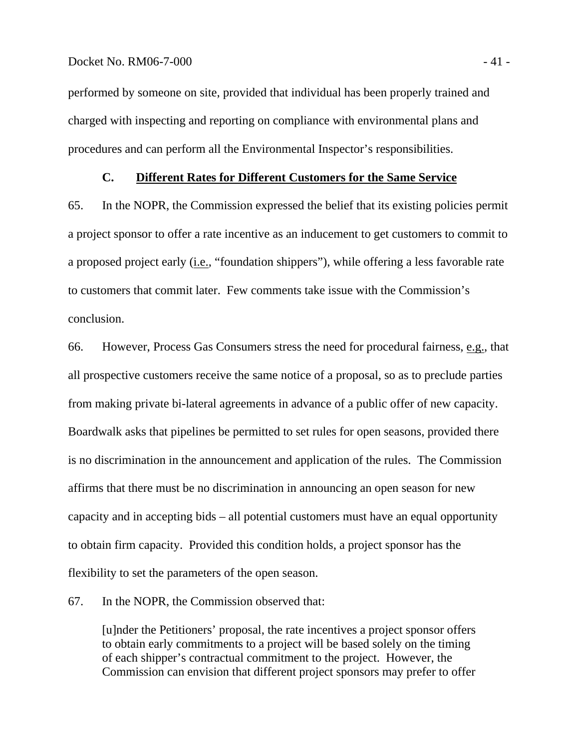performed by someone on site, provided that individual has been properly trained and charged with inspecting and reporting on compliance with environmental plans and procedures and can perform all the Environmental Inspector's responsibilities.

## **C. Different Rates for Different Customers for the Same Service**

65. In the NOPR, the Commission expressed the belief that its existing policies permit a project sponsor to offer a rate incentive as an inducement to get customers to commit to a proposed project early (i.e., "foundation shippers"), while offering a less favorable rate to customers that commit later. Few comments take issue with the Commission's conclusion.

66. However, Process Gas Consumers stress the need for procedural fairness, e.g., that all prospective customers receive the same notice of a proposal, so as to preclude parties from making private bi-lateral agreements in advance of a public offer of new capacity. Boardwalk asks that pipelines be permitted to set rules for open seasons, provided there is no discrimination in the announcement and application of the rules. The Commission affirms that there must be no discrimination in announcing an open season for new capacity and in accepting bids – all potential customers must have an equal opportunity to obtain firm capacity. Provided this condition holds, a project sponsor has the flexibility to set the parameters of the open season.

## 67. In the NOPR, the Commission observed that:

[u]nder the Petitioners' proposal, the rate incentives a project sponsor offers to obtain early commitments to a project will be based solely on the timing of each shipper's contractual commitment to the project. However, the Commission can envision that different project sponsors may prefer to offer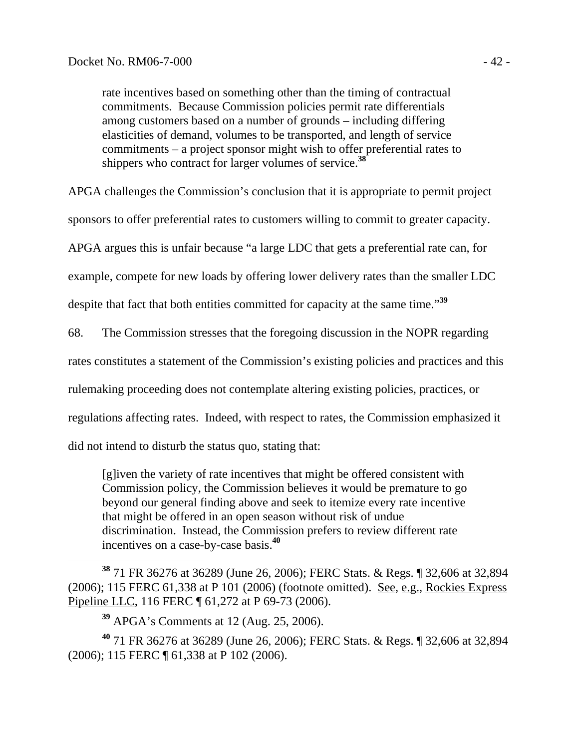rate incentives based on something other than the timing of contractual commitments. Because Commission policies permit rate differentials among customers based on a number of grounds – including differing elasticities of demand, volumes to be transported, and length of service commitments – a project sponsor might wish to offer preferential rates to shippers who contract for larger volumes of service.**<sup>38</sup>**

APGA challenges the Commission's conclusion that it is appropriate to permit project

sponsors to offer preferential rates to customers willing to commit to greater capacity.

APGA argues this is unfair because "a large LDC that gets a preferential rate can, for

example, compete for new loads by offering lower delivery rates than the smaller LDC

despite that fact that both entities committed for capacity at the same time."**<sup>39</sup>**

68. The Commission stresses that the foregoing discussion in the NOPR regarding

rates constitutes a statement of the Commission's existing policies and practices and this

rulemaking proceeding does not contemplate altering existing policies, practices, or

regulations affecting rates. Indeed, with respect to rates, the Commission emphasized it

did not intend to disturb the status quo, stating that:

[g]iven the variety of rate incentives that might be offered consistent with Commission policy, the Commission believes it would be premature to go beyond our general finding above and seek to itemize every rate incentive that might be offered in an open season without risk of undue discrimination. Instead, the Commission prefers to review different rate incentives on a case-by-case basis.**<sup>40</sup>**

 **<sup>38</sup>** 71 FR 36276 at 36289 (June 26, 2006); FERC Stats. & Regs. ¶ 32,606 at 32,894 (2006); 115 FERC 61,338 at P 101 (2006) (footnote omitted). See, e.g., Rockies Express Pipeline LLC, 116 FERC ¶ 61,272 at P 69-73 (2006).

**<sup>40</sup>** 71 FR 36276 at 36289 (June 26, 2006); FERC Stats. & Regs. ¶ 32,606 at 32,894 (2006); 115 FERC ¶ 61,338 at P 102 (2006).

**<sup>39</sup>** APGA's Comments at 12 (Aug. 25, 2006).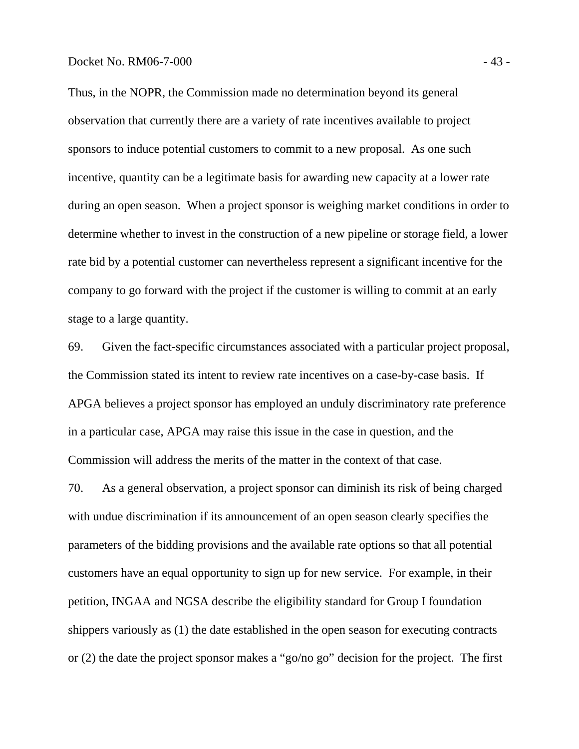Thus, in the NOPR, the Commission made no determination beyond its general observation that currently there are a variety of rate incentives available to project sponsors to induce potential customers to commit to a new proposal. As one such incentive, quantity can be a legitimate basis for awarding new capacity at a lower rate during an open season. When a project sponsor is weighing market conditions in order to determine whether to invest in the construction of a new pipeline or storage field, a lower rate bid by a potential customer can nevertheless represent a significant incentive for the company to go forward with the project if the customer is willing to commit at an early stage to a large quantity.

69. Given the fact-specific circumstances associated with a particular project proposal, the Commission stated its intent to review rate incentives on a case-by-case basis. If APGA believes a project sponsor has employed an unduly discriminatory rate preference in a particular case, APGA may raise this issue in the case in question, and the Commission will address the merits of the matter in the context of that case.

70. As a general observation, a project sponsor can diminish its risk of being charged with undue discrimination if its announcement of an open season clearly specifies the parameters of the bidding provisions and the available rate options so that all potential customers have an equal opportunity to sign up for new service. For example, in their petition, INGAA and NGSA describe the eligibility standard for Group I foundation shippers variously as (1) the date established in the open season for executing contracts or (2) the date the project sponsor makes a "go/no go" decision for the project. The first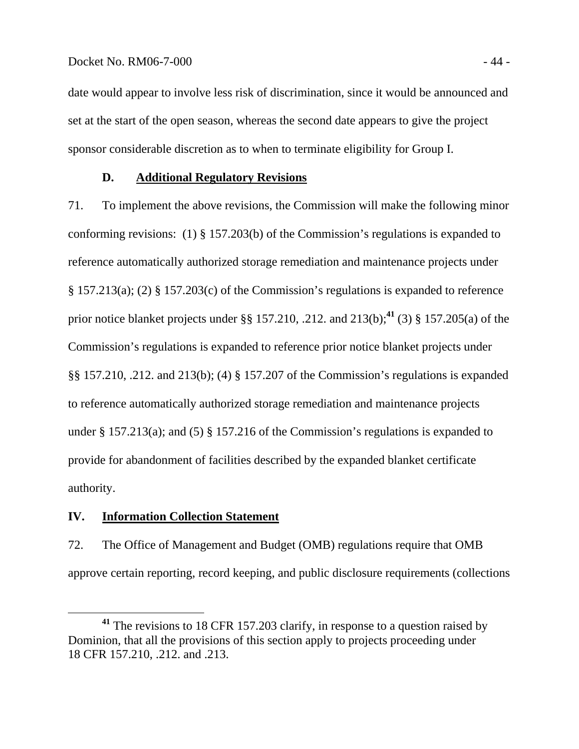#### Docket No. RM06-7-000 - 44 -

date would appear to involve less risk of discrimination, since it would be announced and set at the start of the open season, whereas the second date appears to give the project sponsor considerable discretion as to when to terminate eligibility for Group I.

## **D. Additional Regulatory Revisions**

71. To implement the above revisions, the Commission will make the following minor conforming revisions: (1) § 157.203(b) of the Commission's regulations is expanded to reference automatically authorized storage remediation and maintenance projects under § 157.213(a); (2) § 157.203(c) of the Commission's regulations is expanded to reference prior notice blanket projects under §§ 157.210, .212. and 213(b);**<sup>41</sup>** (3) § 157.205(a) of the Commission's regulations is expanded to reference prior notice blanket projects under §§ 157.210, .212. and 213(b); (4) § 157.207 of the Commission's regulations is expanded to reference automatically authorized storage remediation and maintenance projects under § 157.213(a); and (5) § 157.216 of the Commission's regulations is expanded to provide for abandonment of facilities described by the expanded blanket certificate authority.

## **IV. Information Collection Statement**

72. The Office of Management and Budget (OMB) regulations require that OMB approve certain reporting, record keeping, and public disclosure requirements (collections

**<sup>41</sup>** The revisions to 18 CFR 157.203 clarify, in response to a question raised by Dominion, that all the provisions of this section apply to projects proceeding under 18 CFR 157.210, .212. and .213.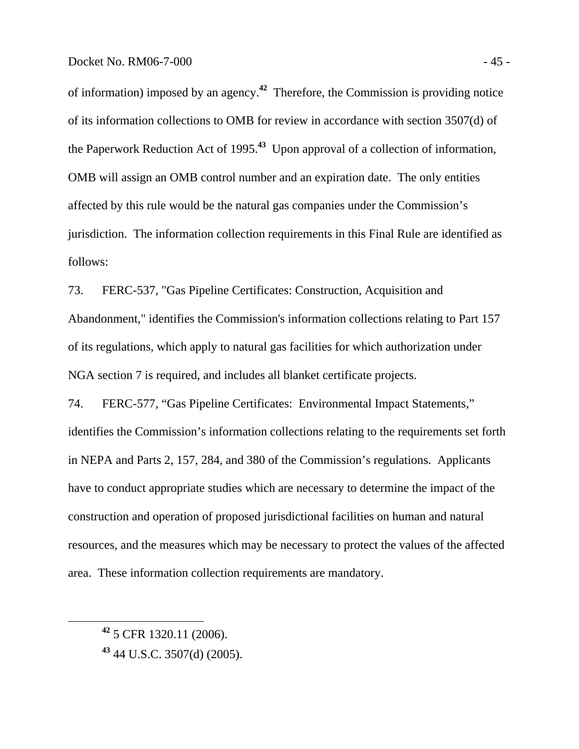of information) imposed by an agency.**<sup>42</sup>** Therefore, the Commission is providing notice of its information collections to OMB for review in accordance with section 3507(d) of the Paperwork Reduction Act of 1995.**<sup>43</sup>** Upon approval of a collection of information, OMB will assign an OMB control number and an expiration date. The only entities affected by this rule would be the natural gas companies under the Commission's jurisdiction. The information collection requirements in this Final Rule are identified as follows:

73. FERC-537, "Gas Pipeline Certificates: Construction, Acquisition and Abandonment," identifies the Commission's information collections relating to Part 157 of its regulations, which apply to natural gas facilities for which authorization under NGA section 7 is required, and includes all blanket certificate projects.

74. FERC-577, "Gas Pipeline Certificates: Environmental Impact Statements," identifies the Commission's information collections relating to the requirements set forth in NEPA and Parts 2, 157, 284, and 380 of the Commission's regulations. Applicants have to conduct appropriate studies which are necessary to determine the impact of the construction and operation of proposed jurisdictional facilities on human and natural resources, and the measures which may be necessary to protect the values of the affected area. These information collection requirements are mandatory.

**<sup>42</sup>** 5 CFR 1320.11 (2006).

**<sup>43</sup>** 44 U.S.C. 3507(d) (2005).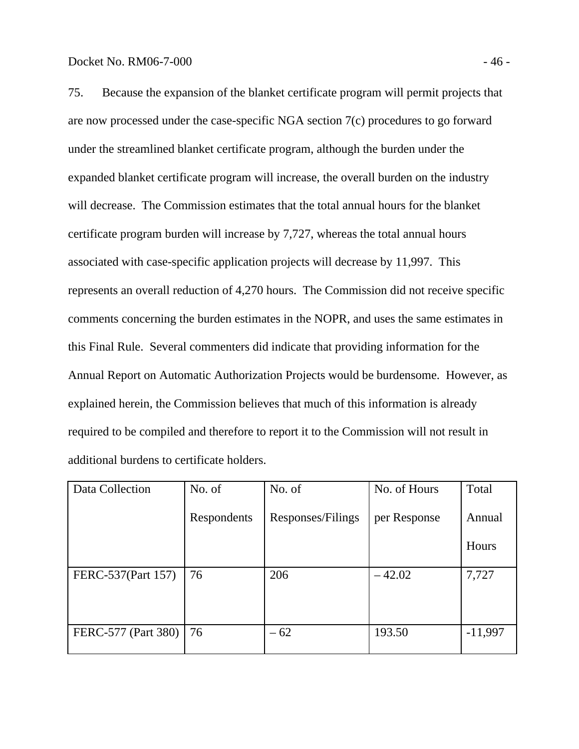75. Because the expansion of the blanket certificate program will permit projects that are now processed under the case-specific NGA section 7(c) procedures to go forward under the streamlined blanket certificate program, although the burden under the expanded blanket certificate program will increase, the overall burden on the industry will decrease. The Commission estimates that the total annual hours for the blanket certificate program burden will increase by 7,727, whereas the total annual hours associated with case-specific application projects will decrease by 11,997. This represents an overall reduction of 4,270 hours. The Commission did not receive specific comments concerning the burden estimates in the NOPR, and uses the same estimates in this Final Rule. Several commenters did indicate that providing information for the Annual Report on Automatic Authorization Projects would be burdensome. However, as explained herein, the Commission believes that much of this information is already required to be compiled and therefore to report it to the Commission will not result in additional burdens to certificate holders.

| Data Collection     | No. of      | No. of            | No. of Hours | Total        |
|---------------------|-------------|-------------------|--------------|--------------|
|                     | Respondents | Responses/Filings | per Response | Annual       |
|                     |             |                   |              | <b>Hours</b> |
| FERC-537(Part 157)  | 76          | 206               | $-42.02$     | 7,727        |
|                     |             |                   |              |              |
|                     |             |                   |              |              |
| FERC-577 (Part 380) | 76          | $-62$             | 193.50       | $-11,997$    |
|                     |             |                   |              |              |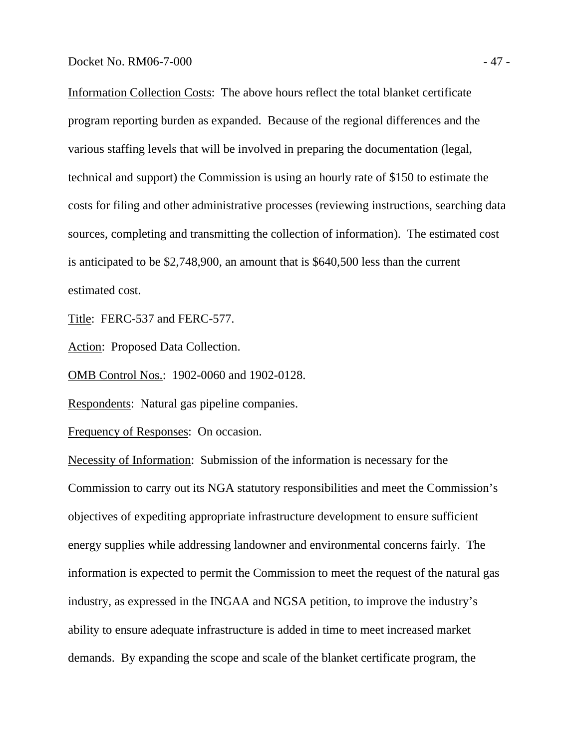Information Collection Costs: The above hours reflect the total blanket certificate program reporting burden as expanded. Because of the regional differences and the various staffing levels that will be involved in preparing the documentation (legal, technical and support) the Commission is using an hourly rate of \$150 to estimate the costs for filing and other administrative processes (reviewing instructions, searching data sources, completing and transmitting the collection of information). The estimated cost is anticipated to be \$2,748,900, an amount that is \$640,500 less than the current estimated cost.

Title: FERC-537 and FERC-577.

Action: Proposed Data Collection.

OMB Control Nos.: 1902-0060 and 1902-0128.

Respondents: Natural gas pipeline companies.

Frequency of Responses: On occasion.

Necessity of Information: Submission of the information is necessary for the Commission to carry out its NGA statutory responsibilities and meet the Commission's objectives of expediting appropriate infrastructure development to ensure sufficient energy supplies while addressing landowner and environmental concerns fairly. The information is expected to permit the Commission to meet the request of the natural gas industry, as expressed in the INGAA and NGSA petition, to improve the industry's ability to ensure adequate infrastructure is added in time to meet increased market demands. By expanding the scope and scale of the blanket certificate program, the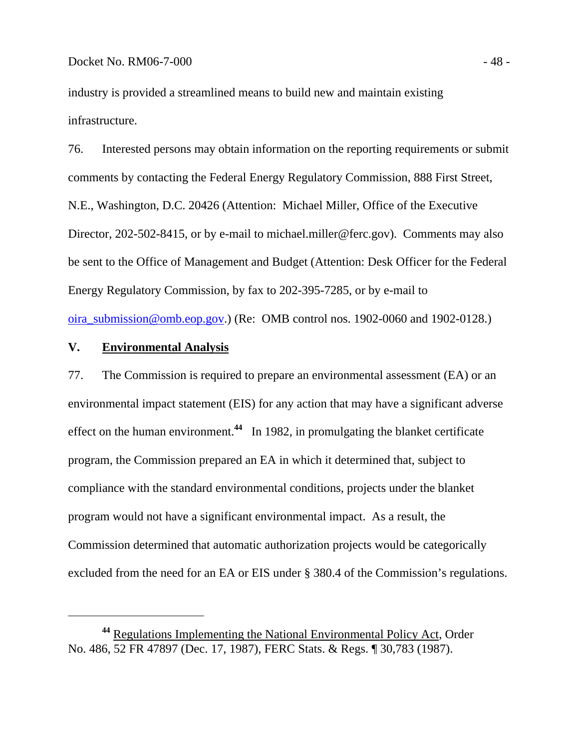industry is provided a streamlined means to build new and maintain existing infrastructure.

76. Interested persons may obtain information on the reporting requirements or submit comments by contacting the Federal Energy Regulatory Commission, 888 First Street, N.E., Washington, D.C. 20426 (Attention: Michael Miller, Office of the Executive Director, 202-502-8415, or by e-mail to michael.miller@ferc.gov). Comments may also be sent to the Office of Management and Budget (Attention: Desk Officer for the Federal Energy Regulatory Commission, by fax to 202-395-7285, or by e-mail to oira\_submission@omb.eop.gov.) (Re: OMB control nos. 1902-0060 and 1902-0128.)

## **V. Environmental Analysis**

77. The Commission is required to prepare an environmental assessment (EA) or an environmental impact statement (EIS) for any action that may have a significant adverse effect on the human environment.**<sup>44</sup>** In 1982, in promulgating the blanket certificate program, the Commission prepared an EA in which it determined that, subject to compliance with the standard environmental conditions, projects under the blanket program would not have a significant environmental impact. As a result, the Commission determined that automatic authorization projects would be categorically excluded from the need for an EA or EIS under § 380.4 of the Commission's regulations.

**<sup>44</sup>** Regulations Implementing the National Environmental Policy Act, Order No. 486, 52 FR 47897 (Dec. 17, 1987), FERC Stats. & Regs. ¶ 30,783 (1987).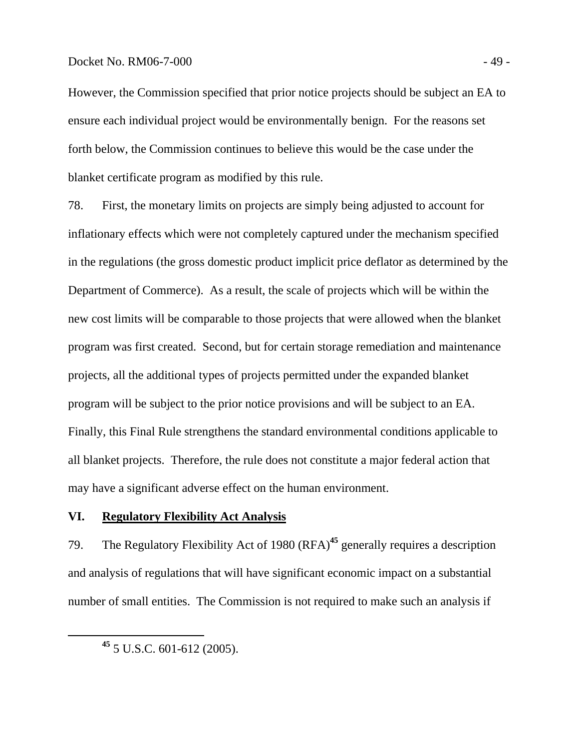## Docket No. RM06-7-000 - 49 -

However, the Commission specified that prior notice projects should be subject an EA to ensure each individual project would be environmentally benign. For the reasons set forth below, the Commission continues to believe this would be the case under the blanket certificate program as modified by this rule.

78. First, the monetary limits on projects are simply being adjusted to account for inflationary effects which were not completely captured under the mechanism specified in the regulations (the gross domestic product implicit price deflator as determined by the Department of Commerce). As a result, the scale of projects which will be within the new cost limits will be comparable to those projects that were allowed when the blanket program was first created. Second, but for certain storage remediation and maintenance projects, all the additional types of projects permitted under the expanded blanket program will be subject to the prior notice provisions and will be subject to an EA. Finally, this Final Rule strengthens the standard environmental conditions applicable to all blanket projects. Therefore, the rule does not constitute a major federal action that may have a significant adverse effect on the human environment.

## **VI. Regulatory Flexibility Act Analysis**

79. The Regulatory Flexibility Act of 1980 (RFA)**<sup>45</sup>** generally requires a description and analysis of regulations that will have significant economic impact on a substantial number of small entities. The Commission is not required to make such an analysis if

**<sup>45</sup>** 5 U.S.C. 601-612 (2005).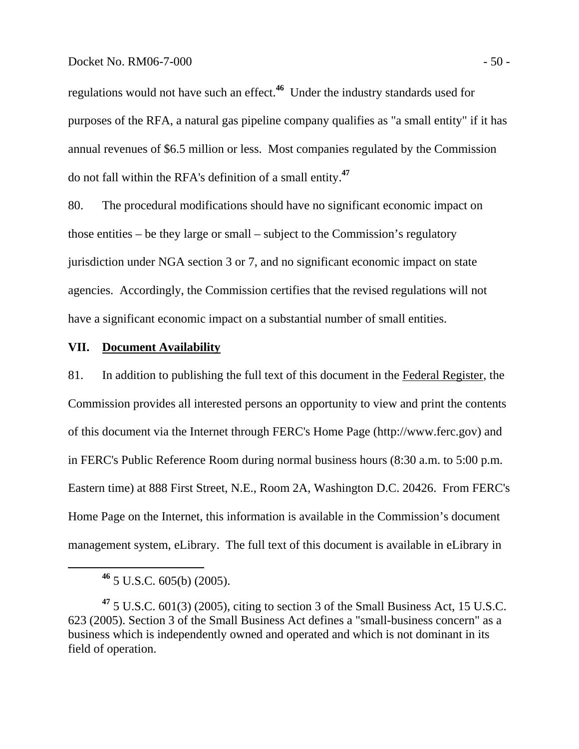#### Docket No. RM06-7-000 - 50 -

regulations would not have such an effect.**<sup>46</sup>** Under the industry standards used for purposes of the RFA, a natural gas pipeline company qualifies as "a small entity" if it has annual revenues of \$6.5 million or less. Most companies regulated by the Commission do not fall within the RFA's definition of a small entity.**<sup>47</sup>**

80. The procedural modifications should have no significant economic impact on those entities – be they large or small – subject to the Commission's regulatory jurisdiction under NGA section 3 or 7, and no significant economic impact on state agencies. Accordingly, the Commission certifies that the revised regulations will not have a significant economic impact on a substantial number of small entities.

## **VII. Document Availability**

81. In addition to publishing the full text of this document in the Federal Register, the Commission provides all interested persons an opportunity to view and print the contents of this document via the Internet through FERC's Home Page (http://www.ferc.gov) and in FERC's Public Reference Room during normal business hours (8:30 a.m. to 5:00 p.m. Eastern time) at 888 First Street, N.E., Room 2A, Washington D.C. 20426. From FERC's Home Page on the Internet, this information is available in the Commission's document management system, eLibrary. The full text of this document is available in eLibrary in

**<sup>46</sup>** 5 U.S.C. 605(b) (2005).

**<sup>47</sup>** 5 U.S.C. 601(3) (2005), citing to section 3 of the Small Business Act, 15 U.S.C. 623 (2005). Section 3 of the Small Business Act defines a "small-business concern" as a business which is independently owned and operated and which is not dominant in its field of operation.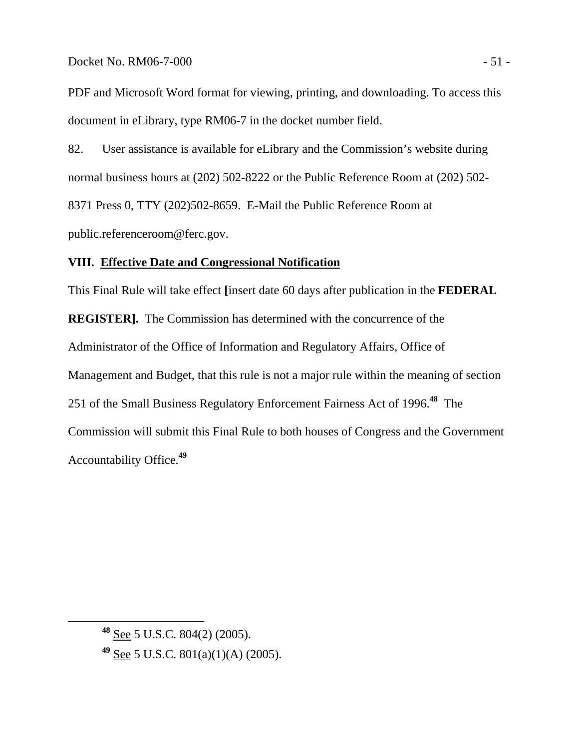PDF and Microsoft Word format for viewing, printing, and downloading. To access this document in eLibrary, type RM06-7 in the docket number field.

82. User assistance is available for eLibrary and the Commission's website during normal business hours at (202) 502-8222 or the Public Reference Room at (202) 502- 8371 Press 0, TTY (202)502-8659. E-Mail the Public Reference Room at public.referenceroom@ferc.gov.

## **VIII. Effective Date and Congressional Notification**

This Final Rule will take effect **[**insert date 60 days after publication in the **FEDERAL REGISTER].** The Commission has determined with the concurrence of the Administrator of the Office of Information and Regulatory Affairs, Office of Management and Budget, that this rule is not a major rule within the meaning of section 251 of the Small Business Regulatory Enforcement Fairness Act of 1996.**<sup>48</sup>** The Commission will submit this Final Rule to both houses of Congress and the Government Accountability Office.**<sup>49</sup>**

**<sup>48</sup>** See 5 U.S.C. 804(2) (2005).

**<sup>49</sup>** See 5 U.S.C. 801(a)(1)(A) (2005).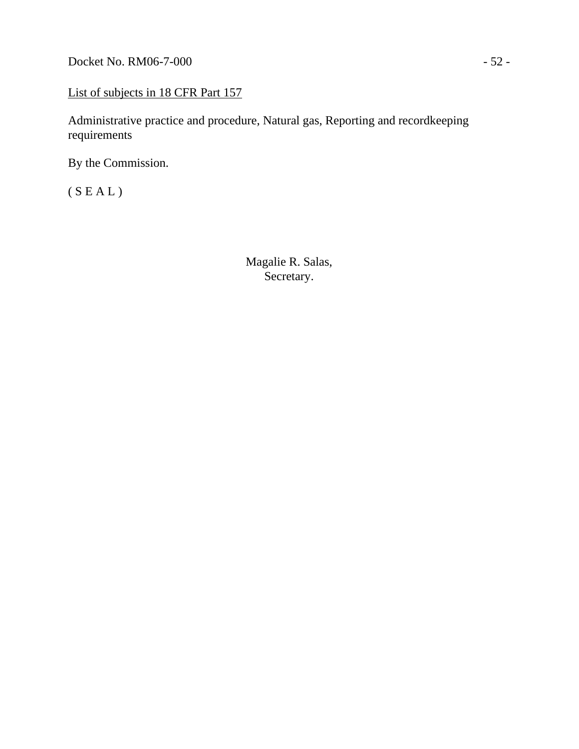Docket No. RM06-7-000 - 52 -

## List of subjects in 18 CFR Part 157

Administrative practice and procedure, Natural gas, Reporting and recordkeeping requirements

By the Commission.

 $(S E A L)$ 

Magalie R. Salas, Secretary.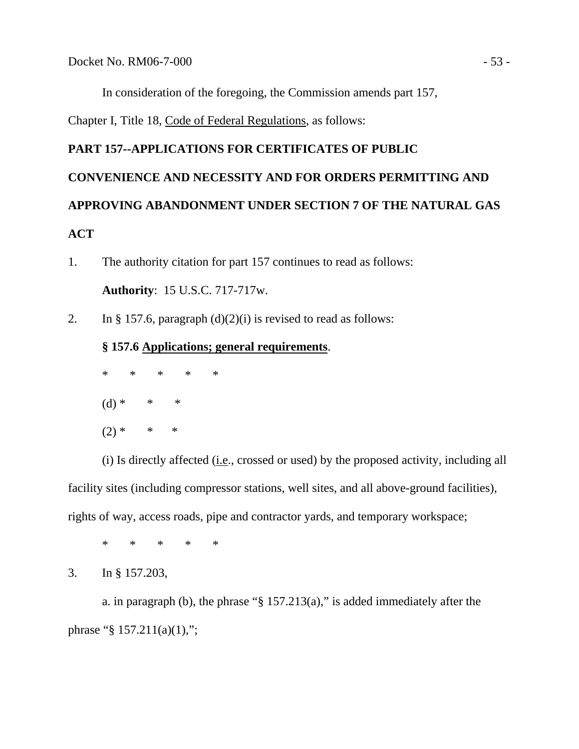In consideration of the foregoing, the Commission amends part 157,

Chapter I, Title 18, Code of Federal Regulations, as follows:

## **PART 157--APPLICATIONS FOR CERTIFICATES OF PUBLIC**

# **CONVENIENCE AND NECESSITY AND FOR ORDERS PERMITTING AND APPROVING ABANDONMENT UNDER SECTION 7 OF THE NATURAL GAS ACT**

- 1. The authority citation for part 157 continues to read as follows: **Authority**: 15 U.S.C. 717-717w.
- 2. In § 157.6, paragraph  $(d)(2)(i)$  is revised to read as follows:

## **§ 157.6 Applications; general requirements**.

 \* \* \* \* \* (d) \* \* \*  $(2) * * * * *$ 

 (i) Is directly affected (i.e., crossed or used) by the proposed activity, including all facility sites (including compressor stations, well sites, and all above-ground facilities), rights of way, access roads, pipe and contractor yards, and temporary workspace;

\* \* \* \* \*

3. In § 157.203,

 a. in paragraph (b), the phrase "§ 157.213(a)," is added immediately after the phrase "§  $157.211(a)(1)$ ,";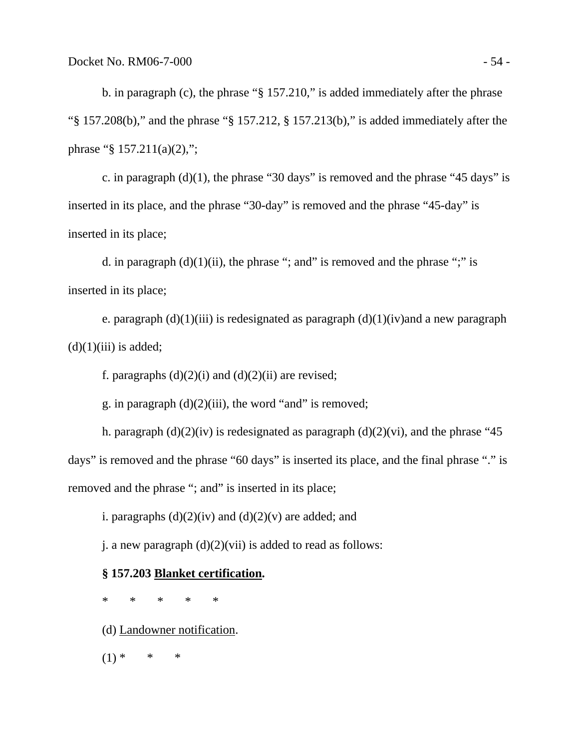b. in paragraph (c), the phrase "§ 157.210," is added immediately after the phrase "§ 157.208(b)," and the phrase "§ 157.212, § 157.213(b)," is added immediately after the phrase "§ 157.211(a)(2),";

c. in paragraph  $(d)(1)$ , the phrase "30 days" is removed and the phrase "45 days" is inserted in its place, and the phrase "30-day" is removed and the phrase "45-day" is inserted in its place;

d. in paragraph  $(d)(1)(ii)$ , the phrase "; and" is removed and the phrase ";" is inserted in its place;

e. paragraph  $(d)(1)(iii)$  is redesignated as paragraph  $(d)(1)(iv)$  and a new paragraph  $(d)(1)(iii)$  is added;

f. paragraphs  $(d)(2)(i)$  and  $(d)(2)(ii)$  are revised;

g. in paragraph  $(d)(2)(iii)$ , the word "and" is removed;

h. paragraph  $(d)(2)(iv)$  is redesignated as paragraph  $(d)(2)(vi)$ , and the phrase "45 days" is removed and the phrase "60 days" is inserted its place, and the final phrase "." is removed and the phrase "; and" is inserted in its place;

i. paragraphs  $(d)(2)(iv)$  and  $(d)(2)(v)$  are added; and

j. a new paragraph  $(d)(2)(vi)$  is added to read as follows:

## **§ 157.203 Blanket certification.**

\* \* \* \* \*

(d) Landowner notification.

 $(1) * * * * *$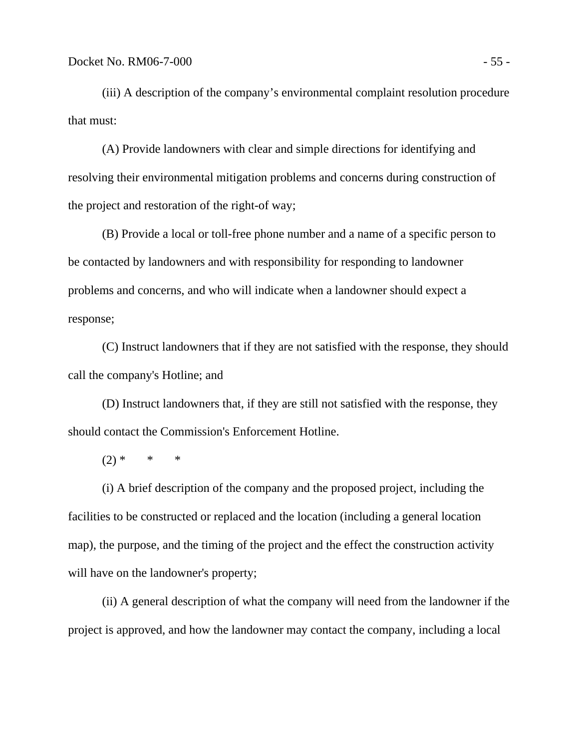(iii) A description of the company's environmental complaint resolution procedure that must:

 (A) Provide landowners with clear and simple directions for identifying and resolving their environmental mitigation problems and concerns during construction of the project and restoration of the right-of way;

 (B) Provide a local or toll-free phone number and a name of a specific person to be contacted by landowners and with responsibility for responding to landowner problems and concerns, and who will indicate when a landowner should expect a response;

 (C) Instruct landowners that if they are not satisfied with the response, they should call the company's Hotline; and

 (D) Instruct landowners that, if they are still not satisfied with the response, they should contact the Commission's Enforcement Hotline.

 $(2) * * * * *$ 

 (i) A brief description of the company and the proposed project, including the facilities to be constructed or replaced and the location (including a general location map), the purpose, and the timing of the project and the effect the construction activity will have on the landowner's property;

 (ii) A general description of what the company will need from the landowner if the project is approved, and how the landowner may contact the company, including a local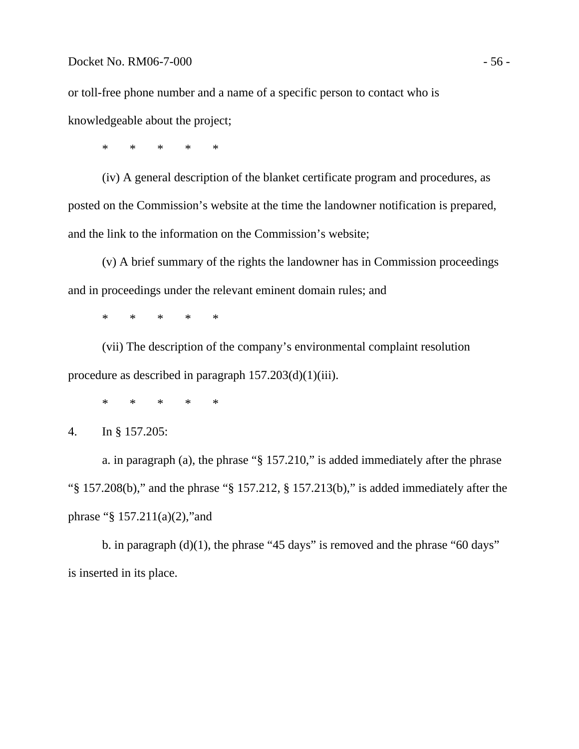or toll-free phone number and a name of a specific person to contact who is knowledgeable about the project;

\* \* \* \* \*

 (iv) A general description of the blanket certificate program and procedures, as posted on the Commission's website at the time the landowner notification is prepared, and the link to the information on the Commission's website;

 (v) A brief summary of the rights the landowner has in Commission proceedings and in proceedings under the relevant eminent domain rules; and

\* \* \* \* \*

 (vii) The description of the company's environmental complaint resolution procedure as described in paragraph  $157.203(d)(1)(iii)$ .

\* \* \* \* \*

4. In § 157.205:

 a. in paragraph (a), the phrase "§ 157.210," is added immediately after the phrase "§ 157.208(b)," and the phrase "§ 157.212, § 157.213(b)," is added immediately after the phrase " $$ 157.211(a)(2)$ , and

b. in paragraph  $(d)(1)$ , the phrase "45 days" is removed and the phrase "60 days" is inserted in its place.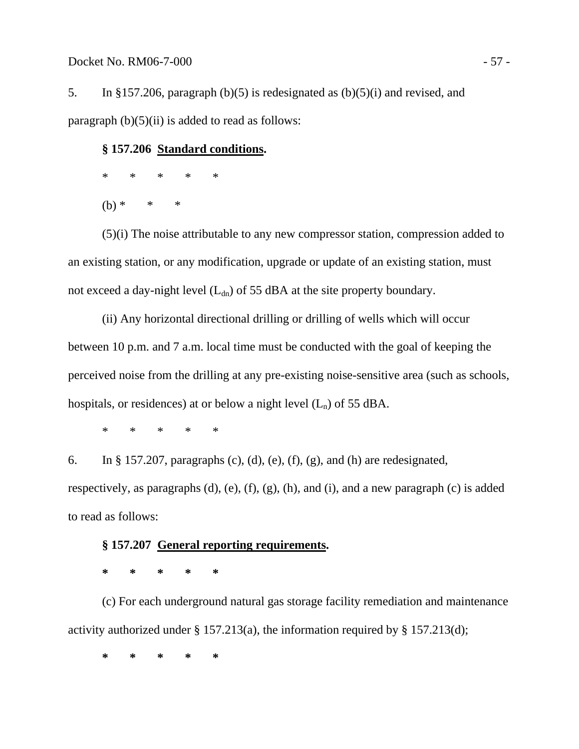5. In §157.206, paragraph (b)(5) is redesignated as (b)(5)(i) and revised, and paragraph  $(b)(5)(ii)$  is added to read as follows:

## **§ 157.206 Standard conditions.**

- \* \* \* \* \*
	- $(b) * * * * *$

 (5)(i) The noise attributable to any new compressor station, compression added to an existing station, or any modification, upgrade or update of an existing station, must not exceed a day-night level  $(L_{dn})$  of 55 dBA at the site property boundary.

 (ii) Any horizontal directional drilling or drilling of wells which will occur between 10 p.m. and 7 a.m. local time must be conducted with the goal of keeping the perceived noise from the drilling at any pre-existing noise-sensitive area (such as schools, hospitals, or residences) at or below a night level  $(L_n)$  of 55 dBA.

\* \* \* \* \*

6. In § 157.207, paragraphs (c), (d), (e), (f), (g), and (h) are redesignated, respectively, as paragraphs (d), (e), (f), (g), (h), and (i), and a new paragraph (c) is added to read as follows:

## **§ 157.207 General reporting requirements.**

 **\* \* \* \* \*** 

 (c) For each underground natural gas storage facility remediation and maintenance activity authorized under § 157.213(a), the information required by § 157.213(d);

**\* \* \* \* \***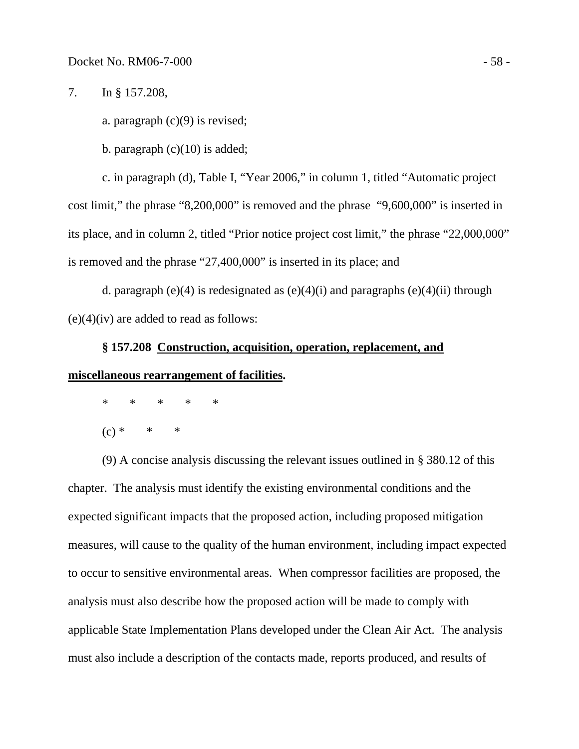7. In § 157.208,

a. paragraph  $(c)(9)$  is revised;

b. paragraph  $(c)(10)$  is added;

c. in paragraph (d), Table I, "Year 2006," in column 1, titled "Automatic project cost limit," the phrase "8,200,000" is removed and the phrase "9,600,000" is inserted in its place, and in column 2, titled "Prior notice project cost limit," the phrase "22,000,000" is removed and the phrase "27,400,000" is inserted in its place; and

d. paragraph (e)(4) is redesignated as  $(e)(4)(i)$  and paragraphs  $(e)(4)(ii)$  through  $(e)(4)(iv)$  are added to read as follows:

## **§ 157.208 Construction, acquisition, operation, replacement, and miscellaneous rearrangement of facilities.**

\* \* \* \* \*

 $(c) * * * * *$ 

 (9) A concise analysis discussing the relevant issues outlined in § 380.12 of this chapter. The analysis must identify the existing environmental conditions and the expected significant impacts that the proposed action, including proposed mitigation measures, will cause to the quality of the human environment, including impact expected to occur to sensitive environmental areas. When compressor facilities are proposed, the analysis must also describe how the proposed action will be made to comply with applicable State Implementation Plans developed under the Clean Air Act. The analysis must also include a description of the contacts made, reports produced, and results of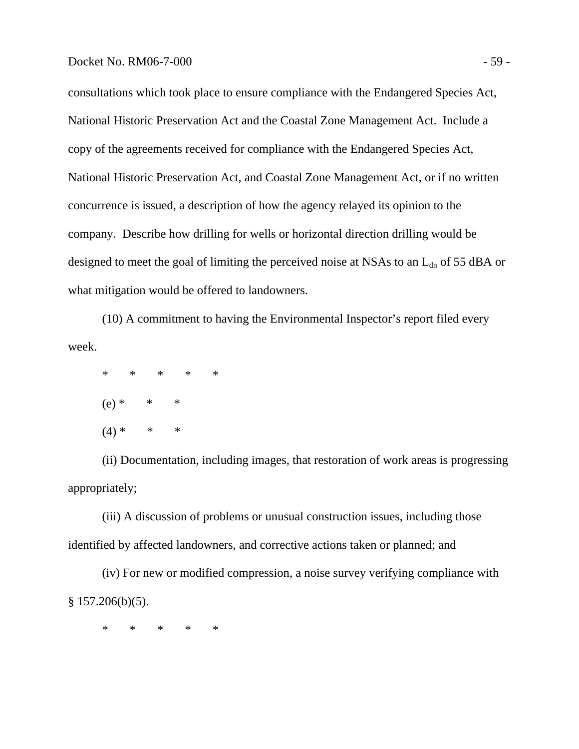#### Docket No. RM06-7-000 - 59 -

consultations which took place to ensure compliance with the Endangered Species Act, National Historic Preservation Act and the Coastal Zone Management Act. Include a copy of the agreements received for compliance with the Endangered Species Act, National Historic Preservation Act, and Coastal Zone Management Act, or if no written concurrence is issued, a description of how the agency relayed its opinion to the company. Describe how drilling for wells or horizontal direction drilling would be designed to meet the goal of limiting the perceived noise at NSAs to an  $L_{dn}$  of 55 dBA or what mitigation would be offered to landowners.

 (10) A commitment to having the Environmental Inspector's report filed every week.

 \* \* \* \* \*  $(e) * * * * *$  $(4) * * * * *$ 

 (ii) Documentation, including images, that restoration of work areas is progressing appropriately;

 (iii) A discussion of problems or unusual construction issues, including those identified by affected landowners, and corrective actions taken or planned; and

 (iv) For new or modified compression, a noise survey verifying compliance with  $§ 157.206(b)(5).$ 

\* \* \* \* \*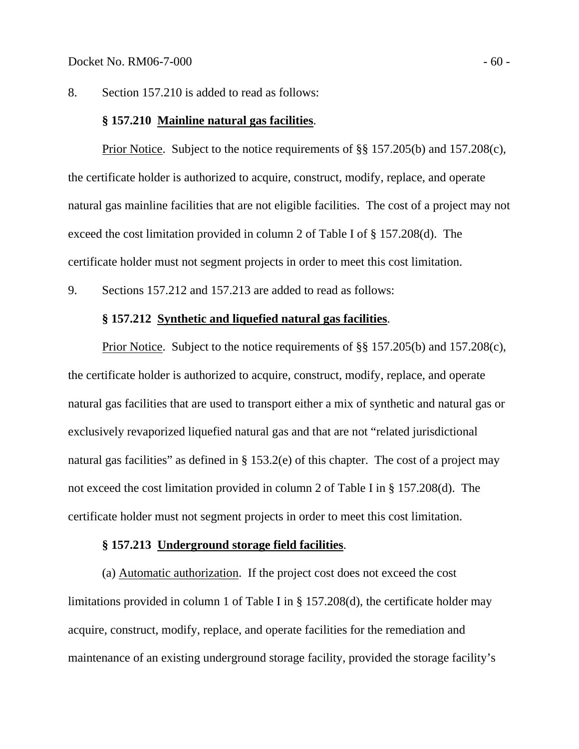8. Section 157.210 is added to read as follows:

## **§ 157.210 Mainline natural gas facilities**.

Prior Notice. Subject to the notice requirements of §§ 157.205(b) and 157.208(c), the certificate holder is authorized to acquire, construct, modify, replace, and operate natural gas mainline facilities that are not eligible facilities. The cost of a project may not exceed the cost limitation provided in column 2 of Table I of § 157.208(d). The certificate holder must not segment projects in order to meet this cost limitation.

9. Sections 157.212 and 157.213 are added to read as follows:

## **§ 157.212 Synthetic and liquefied natural gas facilities**.

Prior Notice. Subject to the notice requirements of §§ 157.205(b) and 157.208(c), the certificate holder is authorized to acquire, construct, modify, replace, and operate natural gas facilities that are used to transport either a mix of synthetic and natural gas or exclusively revaporized liquefied natural gas and that are not "related jurisdictional natural gas facilities" as defined in § 153.2(e) of this chapter. The cost of a project may not exceed the cost limitation provided in column 2 of Table I in § 157.208(d). The certificate holder must not segment projects in order to meet this cost limitation.

## **§ 157.213 Underground storage field facilities**.

 (a) Automatic authorization. If the project cost does not exceed the cost limitations provided in column 1 of Table I in § 157.208(d), the certificate holder may acquire, construct, modify, replace, and operate facilities for the remediation and maintenance of an existing underground storage facility, provided the storage facility's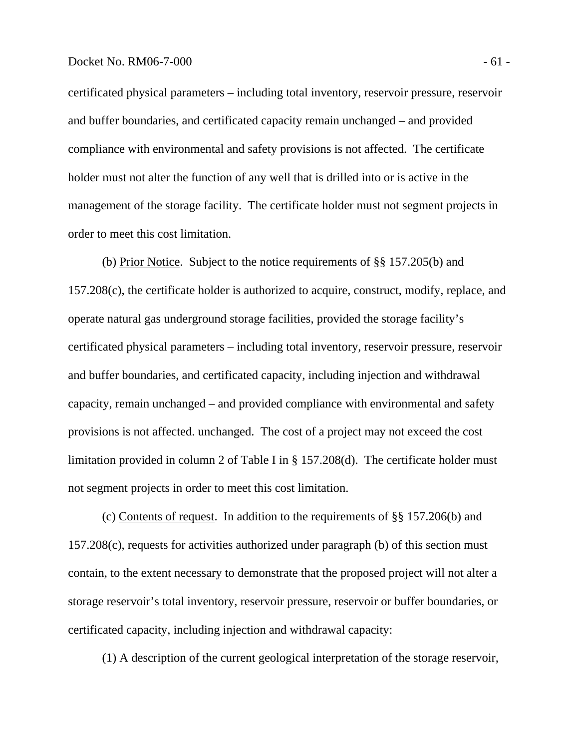#### Docket No. RM06-7-000 - 61 -

certificated physical parameters – including total inventory, reservoir pressure, reservoir and buffer boundaries, and certificated capacity remain unchanged – and provided compliance with environmental and safety provisions is not affected. The certificate holder must not alter the function of any well that is drilled into or is active in the management of the storage facility. The certificate holder must not segment projects in order to meet this cost limitation.

 (b) Prior Notice. Subject to the notice requirements of §§ 157.205(b) and 157.208(c), the certificate holder is authorized to acquire, construct, modify, replace, and operate natural gas underground storage facilities, provided the storage facility's certificated physical parameters – including total inventory, reservoir pressure, reservoir and buffer boundaries, and certificated capacity, including injection and withdrawal capacity, remain unchanged – and provided compliance with environmental and safety provisions is not affected. unchanged. The cost of a project may not exceed the cost limitation provided in column 2 of Table I in § 157.208(d). The certificate holder must not segment projects in order to meet this cost limitation.

 (c) Contents of request. In addition to the requirements of §§ 157.206(b) and 157.208(c), requests for activities authorized under paragraph (b) of this section must contain, to the extent necessary to demonstrate that the proposed project will not alter a storage reservoir's total inventory, reservoir pressure, reservoir or buffer boundaries, or certificated capacity, including injection and withdrawal capacity:

(1) A description of the current geological interpretation of the storage reservoir,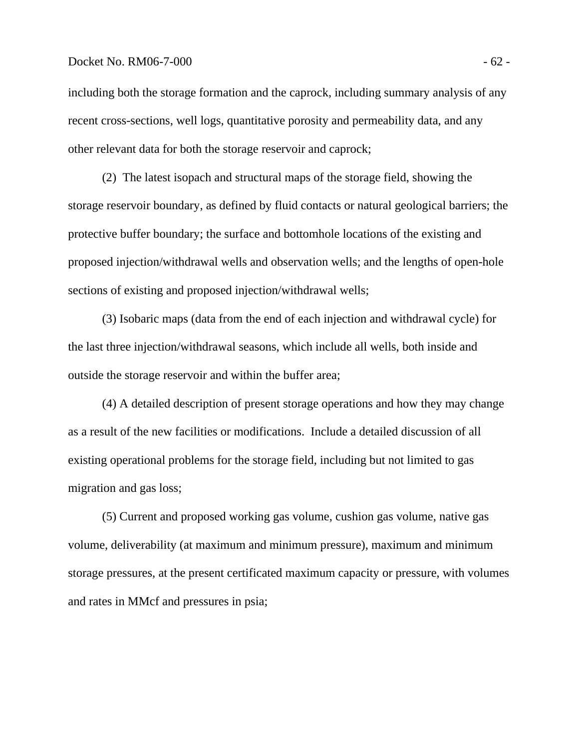## Docket No. RM06-7-000 - 62 -

including both the storage formation and the caprock, including summary analysis of any recent cross-sections, well logs, quantitative porosity and permeability data, and any other relevant data for both the storage reservoir and caprock;

 (2) The latest isopach and structural maps of the storage field, showing the storage reservoir boundary, as defined by fluid contacts or natural geological barriers; the protective buffer boundary; the surface and bottomhole locations of the existing and proposed injection/withdrawal wells and observation wells; and the lengths of open-hole sections of existing and proposed injection/withdrawal wells;

 (3) Isobaric maps (data from the end of each injection and withdrawal cycle) for the last three injection/withdrawal seasons, which include all wells, both inside and outside the storage reservoir and within the buffer area;

 (4) A detailed description of present storage operations and how they may change as a result of the new facilities or modifications. Include a detailed discussion of all existing operational problems for the storage field, including but not limited to gas migration and gas loss;

 (5) Current and proposed working gas volume, cushion gas volume, native gas volume, deliverability (at maximum and minimum pressure), maximum and minimum storage pressures, at the present certificated maximum capacity or pressure, with volumes and rates in MMcf and pressures in psia;